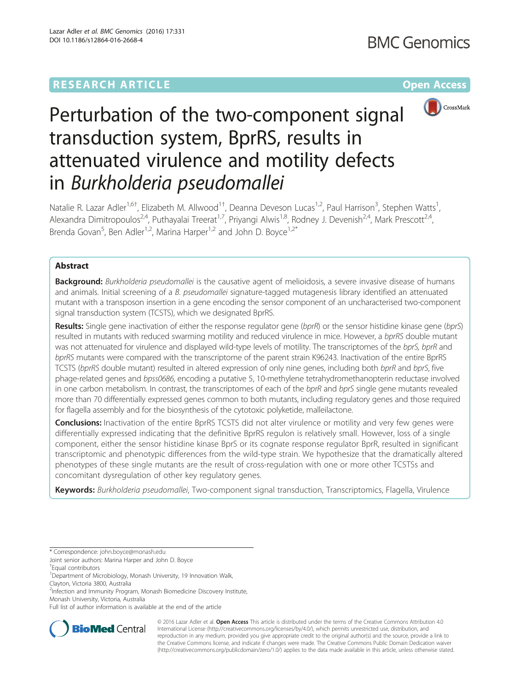## **RESEARCH ARTICLE Example 2014 12:30 The Community Community Community Community Community Community Community**



# Perturbation of the two-component signal transduction system, BprRS, results in attenuated virulence and motility defects in Burkholderia pseudomallei

Natalie R. Lazar Adler<sup>1,6†</sup>, Elizabeth M. Allwood<sup>1†</sup>, Deanna Deveson Lucas<sup>1,2</sup>, Paul Harrison<sup>3</sup>, Stephen Watts<sup>1</sup> , Alexandra Dimitropoulos<sup>2,4</sup>, Puthayalai Treerat<sup>1,7</sup>, Priyangi Alwis<sup>1,8</sup>, Rodney J. Devenish<sup>2,4</sup>, Mark Prescott<sup>2,4</sup>, Brenda Govan<sup>5</sup>, Ben Adler<sup>1,2</sup>, Marina Harper<sup>1,2</sup> and John D. Boyce<sup>1,2\*</sup>

### Abstract

**Background:** Burkholderia pseudomallei is the causative agent of melioidosis, a severe invasive disease of humans and animals. Initial screening of a B. pseudomallei signature-tagged mutagenesis library identified an attenuated mutant with a transposon insertion in a gene encoding the sensor component of an uncharacterised two-component signal transduction system (TCSTS), which we designated BprRS.

Results: Single gene inactivation of either the response regulator gene (bprR) or the sensor histidine kinase gene (bprS) resulted in mutants with reduced swarming motility and reduced virulence in mice. However, a bprRS double mutant was not attenuated for virulence and displayed wild-type levels of motility. The transcriptomes of the bprS, bprR and bprRS mutants were compared with the transcriptome of the parent strain K96243. Inactivation of the entire BprRS TCSTS (bprRS double mutant) resulted in altered expression of only nine genes, including both bprR and bprS, five phage-related genes and bpss0686, encoding a putative 5, 10-methylene tetrahydromethanopterin reductase involved in one carbon metabolism. In contrast, the transcriptomes of each of the bprR and bprS single gene mutants revealed more than 70 differentially expressed genes common to both mutants, including regulatory genes and those required for flagella assembly and for the biosynthesis of the cytotoxic polyketide, malleilactone.

**Conclusions:** Inactivation of the entire BprRS TCSTS did not alter virulence or motility and very few genes were differentially expressed indicating that the definitive BprRS regulon is relatively small. However, loss of a single component, either the sensor histidine kinase BprS or its cognate response regulator BprR, resulted in significant transcriptomic and phenotypic differences from the wild-type strain. We hypothesize that the dramatically altered phenotypes of these single mutants are the result of cross-regulation with one or more other TCSTSs and concomitant dysregulation of other key regulatory genes.

Keywords: Burkholderia pseudomallei, Two-component signal transduction, Transcriptomics, Flagella, Virulence

\* Correspondence: [john.boyce@monash.edu](mailto:john.boyce@monash.edu)

Joint senior authors: Marina Harper and John D. Boyce † Equal contributors

Clayton, Victoria 3800, Australia

<sup>2</sup>Infection and Immunity Program, Monash Biomedicine Discovery Institute, Monash University, Victoria, Australia

Full list of author information is available at the end of the article



© 2016 Lazar Adler et al. Open Access This article is distributed under the terms of the Creative Commons Attribution 4.0 International License [\(http://creativecommons.org/licenses/by/4.0/](http://creativecommons.org/licenses/by/4.0/)), which permits unrestricted use, distribution, and reproduction in any medium, provided you give appropriate credit to the original author(s) and the source, provide a link to the Creative Commons license, and indicate if changes were made. The Creative Commons Public Domain Dedication waiver [\(http://creativecommons.org/publicdomain/zero/1.0/](http://creativecommons.org/publicdomain/zero/1.0/)) applies to the data made available in this article, unless otherwise stated.

<sup>&</sup>lt;sup>1</sup>Department of Microbiology, Monash University, 19 Innovation Walk,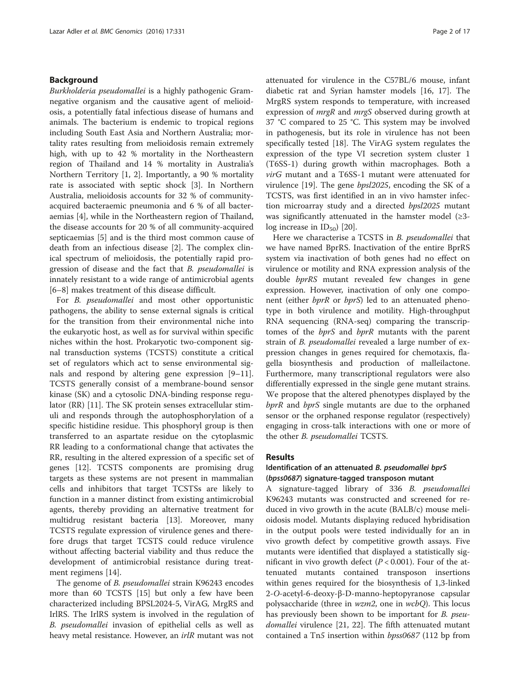#### Background

Burkholderia pseudomallei is a highly pathogenic Gramnegative organism and the causative agent of melioidosis, a potentially fatal infectious disease of humans and animals. The bacterium is endemic to tropical regions including South East Asia and Northern Australia; mortality rates resulting from melioidosis remain extremely high, with up to 42 % mortality in the Northeastern region of Thailand and 14 % mortality in Australia's Northern Territory [[1](#page-15-0), [2](#page-15-0)]. Importantly, a 90 % mortality rate is associated with septic shock [\[3\]](#page-15-0). In Northern Australia, melioidosis accounts for 32 % of communityacquired bacteraemic pneumonia and 6 % of all bacteraemias [[4\]](#page-15-0), while in the Northeastern region of Thailand, the disease accounts for 20 % of all community-acquired septicaemias [[5](#page-15-0)] and is the third most common cause of death from an infectious disease [[2](#page-15-0)]. The complex clinical spectrum of melioidosis, the potentially rapid progression of disease and the fact that B. pseudomallei is innately resistant to a wide range of antimicrobial agents [[6](#page-15-0)–[8\]](#page-15-0) makes treatment of this disease difficult.

For B. pseudomallei and most other opportunistic pathogens, the ability to sense external signals is critical for the transition from their environmental niche into the eukaryotic host, as well as for survival within specific niches within the host. Prokaryotic two-component signal transduction systems (TCSTS) constitute a critical set of regulators which act to sense environmental signals and respond by altering gene expression [[9](#page-15-0)–[11](#page-15-0)]. TCSTS generally consist of a membrane-bound sensor kinase (SK) and a cytosolic DNA-binding response regulator (RR) [\[11\]](#page-15-0). The SK protein senses extracellular stimuli and responds through the autophosphorylation of a specific histidine residue. This phosphoryl group is then transferred to an aspartate residue on the cytoplasmic RR leading to a conformational change that activates the RR, resulting in the altered expression of a specific set of genes [\[12](#page-15-0)]. TCSTS components are promising drug targets as these systems are not present in mammalian cells and inhibitors that target TCSTSs are likely to function in a manner distinct from existing antimicrobial agents, thereby providing an alternative treatment for multidrug resistant bacteria [[13\]](#page-15-0). Moreover, many TCSTS regulate expression of virulence genes and therefore drugs that target TCSTS could reduce virulence without affecting bacterial viability and thus reduce the development of antimicrobial resistance during treatment regimens [\[14\]](#page-15-0).

The genome of *B. pseudomallei* strain K96243 encodes more than 60 TCSTS [\[15](#page-15-0)] but only a few have been characterized including BPSL2024-5, VirAG, MrgRS and IrlRS. The IrlRS system is involved in the regulation of B. pseudomallei invasion of epithelial cells as well as heavy metal resistance. However, an *irlR* mutant was not attenuated for virulence in the C57BL/6 mouse, infant diabetic rat and Syrian hamster models [[16, 17\]](#page-15-0). The MrgRS system responds to temperature, with increased expression of *mrgR* and *mrgS* observed during growth at 37 °C compared to 25 °C. This system may be involved in pathogenesis, but its role in virulence has not been specifically tested [\[18\]](#page-16-0). The VirAG system regulates the expression of the type VI secretion system cluster 1 (T6SS-1) during growth within macrophages. Both a virG mutant and a T6SS-1 mutant were attenuated for virulence [[19](#page-16-0)]. The gene bpsl2025, encoding the SK of a TCSTS, was first identified in an in vivo hamster infection microarray study and a directed bpsl2025 mutant was significantly attenuated in the hamster model  $(\geq 3$  $log$  increase in  $ID_{50}$  [\[20\]](#page-16-0).

Here we characterise a TCSTS in B. pseudomallei that we have named BprRS. Inactivation of the entire BprRS system via inactivation of both genes had no effect on virulence or motility and RNA expression analysis of the double bprRS mutant revealed few changes in gene expression. However, inactivation of only one component (either *bprR* or *bprS*) led to an attenuated phenotype in both virulence and motility. High-throughput RNA sequencing (RNA-seq) comparing the transcriptomes of the bprS and bprR mutants with the parent strain of *B. pseudomallei* revealed a large number of expression changes in genes required for chemotaxis, flagella biosynthesis and production of malleilactone. Furthermore, many transcriptional regulators were also differentially expressed in the single gene mutant strains. We propose that the altered phenotypes displayed by the bprR and bprS single mutants are due to the orphaned sensor or the orphaned response regulator (respectively) engaging in cross-talk interactions with one or more of the other B. pseudomallei TCSTS.

#### Results

#### Identification of an attenuated B. pseudomallei bprS (bpss0687) signature-tagged transposon mutant

A signature-tagged library of 336 B. pseudomallei K96243 mutants was constructed and screened for reduced in vivo growth in the acute (BALB/c) mouse melioidosis model. Mutants displaying reduced hybridisation in the output pools were tested individually for an in vivo growth defect by competitive growth assays. Five mutants were identified that displayed a statistically significant in vivo growth defect ( $P < 0.001$ ). Four of the attenuated mutants contained transposon insertions within genes required for the biosynthesis of 1,3-linked 2-O-acetyl-6-deoxy-β-D-manno-heptopyranose capsular polysaccharide (three in *wzm2*, one in *wcbQ*). This locus has previously been shown to be important for *B. pseu*domallei virulence [[21, 22](#page-16-0)]. The fifth attenuated mutant contained a Tn5 insertion within bpss0687 (112 bp from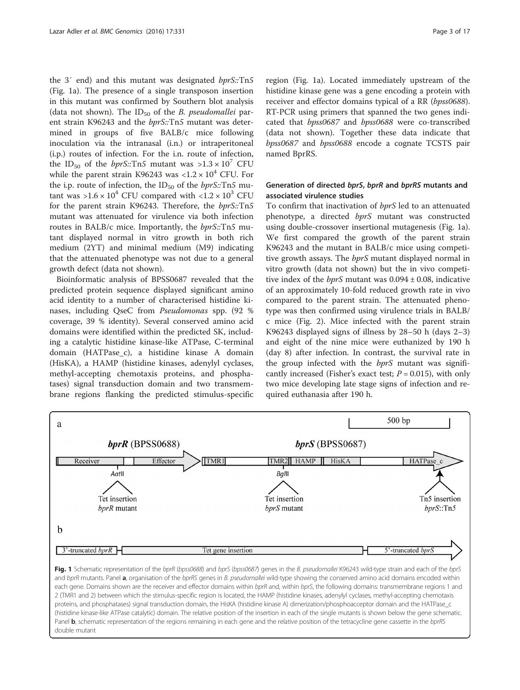<span id="page-2-0"></span>the 3' end) and this mutant was designated bprS::Tn5 (Fig. 1a). The presence of a single transposon insertion in this mutant was confirmed by Southern blot analysis (data not shown). The  $ID_{50}$  of the B. pseudomallei parent strain K96243 and the bprS::Tn5 mutant was determined in groups of five BALB/c mice following inoculation via the intranasal (i.n.) or intraperitoneal (i.p.) routes of infection. For the i.n. route of infection, the ID<sub>50</sub> of the *bprS*::Tn5 mutant was  $>1.3 \times 10^7$  CFU while the parent strain K96243 was <1.2  $\times$  10<sup>4</sup> CFU. For the i.p. route of infection, the  $ID_{50}$  of the  $bprS::Tn5$  mutant was  $>1.6 \times 10^4$  CFU compared with  $<1.2 \times 10^3$  CFU for the parent strain K96243. Therefore, the bprS::Tn5 mutant was attenuated for virulence via both infection routes in BALB/c mice. Importantly, the bprS::Tn5 mutant displayed normal in vitro growth in both rich medium (2YT) and minimal medium (M9) indicating that the attenuated phenotype was not due to a general growth defect (data not shown).

Bioinformatic analysis of BPSS0687 revealed that the predicted protein sequence displayed significant amino acid identity to a number of characterised histidine kinases, including QseC from Pseudomonas spp. (92 % coverage, 39 % identity). Several conserved amino acid domains were identified within the predicted SK, including a catalytic histidine kinase-like ATPase, C-terminal domain (HATPase\_c), a histidine kinase A domain (HisKA), a HAMP (histidine kinases, adenylyl cyclases, methyl-accepting chemotaxis proteins, and phosphatases) signal transduction domain and two transmembrane regions flanking the predicted stimulus-specific

region (Fig. 1a). Located immediately upstream of the histidine kinase gene was a gene encoding a protein with receiver and effector domains typical of a RR (bpss0688). RT-PCR using primers that spanned the two genes indicated that bpss0687 and bpss0688 were co-transcribed (data not shown). Together these data indicate that bpss0687 and bpss0688 encode a cognate TCSTS pair named BprRS.

#### Generation of directed bprS, bprR and bprRS mutants and associated virulence studies

To confirm that inactivation of bprS led to an attenuated phenotype, a directed bprS mutant was constructed using double-crossover insertional mutagenesis (Fig. 1a). We first compared the growth of the parent strain K96243 and the mutant in BALB/c mice using competitive growth assays. The bprS mutant displayed normal in vitro growth (data not shown) but the in vivo competitive index of the  $bprS$  mutant was  $0.094 \pm 0.08$ , indicative of an approximately 10-fold reduced growth rate in vivo compared to the parent strain. The attenuated phenotype was then confirmed using virulence trials in BALB/ c mice (Fig. [2\)](#page-3-0). Mice infected with the parent strain K96243 displayed signs of illness by 28–50 h (days 2–3) and eight of the nine mice were euthanized by 190 h (day 8) after infection. In contrast, the survival rate in the group infected with the *bprS* mutant was significantly increased (Fisher's exact test;  $P = 0.015$ ), with only two mice developing late stage signs of infection and required euthanasia after 190 h.



proteins, and phosphatases) signal transduction domain, the HisKA (histidine kinase A) dimerization/phosphoacceptor domain and the HATPase\_c (histidine kinase-like ATPase catalytic) domain. The relative position of the insertion in each of the single mutants is shown below the gene schematic. Panel **b**, schematic representation of the regions remaining in each gene and the relative position of the tetracycline gene cassette in the bprRS double mutant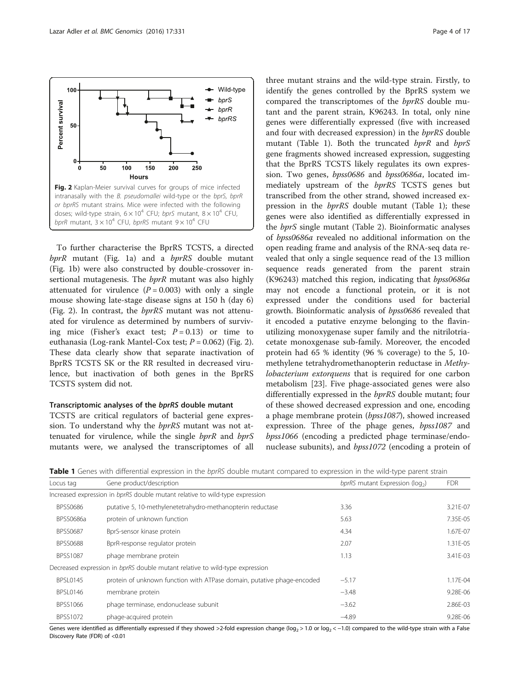

#### Transcriptomic analyses of the bprRS double mutant

TCSTS are critical regulators of bacterial gene expression. To understand why the bprRS mutant was not attenuated for virulence, while the single bprR and bprS mutants were, we analysed the transcriptomes of all

three mutant strains and the wild-type strain. Firstly, to identify the genes controlled by the BprRS system we compared the transcriptomes of the bprRS double mutant and the parent strain, K96243. In total, only nine genes were differentially expressed (five with increased and four with decreased expression) in the bprRS double mutant (Table 1). Both the truncated bprR and bprS gene fragments showed increased expression, suggesting that the BprRS TCSTS likely regulates its own expression. Two genes, bpss0686 and bpss0686a, located immediately upstream of the bprRS TCSTS genes but transcribed from the other strand, showed increased expression in the bprRS double mutant (Table 1); these genes were also identified as differentially expressed in the bprS single mutant (Table [2](#page-4-0)). Bioinformatic analyses of bpss0686a revealed no additional information on the open reading frame and analysis of the RNA-seq data revealed that only a single sequence read of the 13 million sequence reads generated from the parent strain (K96243) matched this region, indicating that bpss0686a may not encode a functional protein, or it is not expressed under the conditions used for bacterial growth. Bioinformatic analysis of bpss0686 revealed that it encoded a putative enzyme belonging to the flavinutilizing monoxygenase super family and the nitrilotriacetate monoxgenase sub-family. Moreover, the encoded protein had 65 % identity (96 % coverage) to the 5, 10 methylene tetrahydromethanopterin reductase in Methylobacterium extorquens that is required for one carbon metabolism [\[23](#page-16-0)]. Five phage-associated genes were also differentially expressed in the bprRS double mutant; four of these showed decreased expression and one, encoding a phage membrane protein (bpss1087), showed increased expression. Three of the phage genes, bpss1087 and bpss1066 (encoding a predicted phage terminase/endonuclease subunits), and bpss1072 (encoding a protein of

Table 1 Genes with differential expression in the bprRS double mutant compared to expression in the wild-type parent strain Locus tag Gene product/description but and the state of the course of the barr borr borr being the Gene of the B

|                  | Increased expression in bprRS double mutant relative to wild-type expression |         |          |
|------------------|------------------------------------------------------------------------------|---------|----------|
| <b>BPSS0686</b>  | putative 5, 10-methylenetetrahydro-methanopterin reductase                   | 3.36    | 3.21E-07 |
| <b>BPSS0686a</b> | protein of unknown function                                                  | 5.63    | 7.35E-05 |
| <b>BPSS0687</b>  | BprS-sensor kinase protein                                                   | 4.34    | 1.67E-07 |
| <b>BPSS0688</b>  | BprR-response regulator protein                                              | 2.07    | 1.31E-05 |
| <b>BPSS1087</b>  | phage membrane protein                                                       | 1.13    | 3.41E-03 |
|                  | Decreased expression in bprRS double mutant relative to wild-type expression |         |          |
| <b>BPSL0145</b>  | protein of unknown function with ATPase domain, putative phage-encoded       | $-5.17$ | 1.17E-04 |
| BPSI 0146        | membrane protein                                                             | $-3.48$ | 9.28E-06 |
| BPSS1066         | phage terminase, endonuclease subunit                                        | $-3.62$ | 2.86E-03 |
| <b>BPSS1072</b>  | phage-acquired protein                                                       | $-4.89$ | 9.28E-06 |
|                  |                                                                              |         |          |

Genes were identified as differentially expressed if they showed >2-fold expression change (log<sub>2</sub> > 1.0 or log<sub>2</sub> < -1.0) compared to the wild-type strain with a False Discovery Rate (FDR) of <0.01

<span id="page-3-0"></span>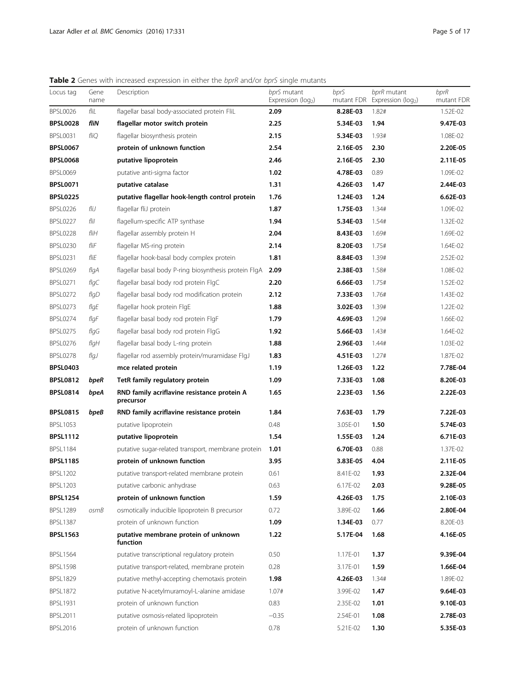#### <span id="page-4-0"></span>Table 2 Genes with increased expression in either the bprR and/or bprS single mutants

|                 |              | <b>TWAIG</b> A GUILD MILITING CODE CAPIC DIGIT IN CITIEL THE OPIN GITCH OF OPID DINGITED |                                      |          |                                             |                    |
|-----------------|--------------|------------------------------------------------------------------------------------------|--------------------------------------|----------|---------------------------------------------|--------------------|
| Locus tag       | Gene<br>name | Description                                                                              | bprS mutant<br>Expression ( $log2$ ) | bprS     | bprR mutant<br>mutant FDR Expression (log2) | bprR<br>mutant FDR |
| <b>BPSL0026</b> | fliL         | flagellar basal body-associated protein FliL                                             | 2.09                                 | 8.28E-03 | 1.82#                                       | 1.52E-02           |
| <b>BPSL0028</b> | fliN         | flagellar motor switch protein                                                           | 2.25                                 | 5.34E-03 | 1.94                                        | 9.47E-03           |
| <b>BPSL0031</b> | fliQ         | flagellar biosynthesis protein                                                           | 2.15                                 | 5.34E-03 | 1.93#                                       | 1.08E-02           |
| <b>BPSL0067</b> |              | protein of unknown function                                                              | 2.54                                 | 2.16E-05 | 2.30                                        | 2.20E-05           |
| <b>BPSL0068</b> |              | putative lipoprotein                                                                     | 2.46                                 | 2.16E-05 | 2.30                                        | 2.11E-05           |
| BPSL0069        |              | putative anti-sigma factor                                                               | 1.02                                 | 4.78E-03 | 0.89                                        | 1.09E-02           |
| <b>BPSL0071</b> |              | putative catalase                                                                        | 1.31                                 | 4.26E-03 | 1.47                                        | 2.44E-03           |
| <b>BPSL0225</b> |              | putative flagellar hook-length control protein                                           | 1.76                                 | 1.24E-03 | 1.24                                        | $6.62E-03$         |
| BPSL0226        | fliJ         | flagellar fliJ protein                                                                   | 1.87                                 | 1.75E-03 | 1.34#                                       | 1.09E-02           |
| <b>BPSL0227</b> | flil         | flagellum-specific ATP synthase                                                          | 1.94                                 | 5.34E-03 | 1.54#                                       | 1.32E-02           |
| <b>BPSL0228</b> | fliH         | flagellar assembly protein H                                                             | 2.04                                 | 8.43E-03 | 1.69#                                       | 1.69E-02           |
| BPSL0230        | fliF         | flagellar MS-ring protein                                                                | 2.14                                 | 8.20E-03 | 1.75#                                       | 1.64E-02           |
| <b>BPSL0231</b> | fliE         | flagellar hook-basal body complex protein                                                | 1.81                                 | 8.84E-03 | 1.39#                                       | 2.52E-02           |
| <b>BPSL0269</b> | flgA         | flagellar basal body P-ring biosynthesis protein FlgA                                    | 2.09                                 | 2.38E-03 | 1.58#                                       | 1.08E-02           |
| BPSL0271        | flgC         | flagellar basal body rod protein FlgC                                                    | 2.20                                 | 6.66E-03 | 1.75#                                       | 1.52E-02           |
| <b>BPSL0272</b> | flqD         | flagellar basal body rod modification protein                                            | 2.12                                 | 7.33E-03 | 1.76#                                       | 1.43E-02           |
| BPSL0273        | flqE         | flagellar hook protein FlgE                                                              | 1.88                                 | 3.02E-03 | 1.39#                                       | 1.22E-02           |
| <b>BPSL0274</b> | flqF         | flagellar basal body rod protein FlgF                                                    | 1.79                                 | 4.69E-03 | 1.29#                                       | 1.66E-02           |
| <b>BPSL0275</b> | flgG         | flagellar basal body rod protein FlgG                                                    | 1.92                                 | 5.66E-03 | 1.43#                                       | 1.64E-02           |
| BPSL0276        | flqH         | flagellar basal body L-ring protein                                                      | 1.88                                 | 2.96E-03 | 1.44#                                       | 1.03E-02           |
| BPSL0278        | flqJ         | flagellar rod assembly protein/muramidase FlgJ                                           | 1.83                                 | 4.51E-03 | 1.27#                                       | 1.87E-02           |
| <b>BPSL0403</b> |              | mce related protein                                                                      | 1.19                                 | 1.26E-03 | 1.22                                        | 7.78E-04           |
| <b>BPSL0812</b> | bpeR         | TetR family regulatory protein                                                           | 1.09                                 | 7.33E-03 | 1.08                                        | 8.20E-03           |
| <b>BPSL0814</b> | bpeA         | RND family acriflavine resistance protein A<br>precursor                                 | 1.65                                 | 2.23E-03 | 1.56                                        | 2.22E-03           |
| <b>BPSL0815</b> | bpeB         | RND family acriflavine resistance protein                                                | 1.84                                 | 7.63E-03 | 1.79                                        | 7.22E-03           |
| <b>BPSL1053</b> |              | putative lipoprotein                                                                     | 0.48                                 | 3.05E-01 | 1.50                                        | 5.74E-03           |
| <b>BPSL1112</b> |              | putative lipoprotein                                                                     | 1.54                                 | 1.55E-03 | 1.24                                        | 6.71E-03           |
| <b>BPSL1184</b> |              | putative sugar-related transport, membrane protein                                       | 1.01                                 | 6.70E-03 | 0.88                                        | 1.37E-02           |
| <b>BPSL1185</b> |              | protein of unknown function                                                              | 3.95                                 | 3.83E-05 | 4.04                                        | 2.11E-05           |
| <b>BPSL1202</b> |              | putative transport-related membrane protein                                              | 0.61                                 | 8.41E-02 | 1.93                                        | 2.32E-04           |
| <b>BPSL1203</b> |              | putative carbonic anhydrase                                                              | 0.63                                 | 6.17E-02 | 2.03                                        | 9.28E-05           |
| <b>BPSL1254</b> |              | protein of unknown function                                                              | 1.59                                 | 4.26E-03 | 1.75                                        | 2.10E-03           |
| <b>BPSL1289</b> | osmB         | osmotically inducible lipoprotein B precursor                                            | 0.72                                 | 3.89E-02 | 1.66                                        | 2.80E-04           |
| <b>BPSL1387</b> |              | protein of unknown function                                                              | 1.09                                 | 1.34E-03 | 0.77                                        | 8.20E-03           |
| <b>BPSL1563</b> |              | putative membrane protein of unknown<br>function                                         | 1.22                                 | 5.17E-04 | 1.68                                        | 4.16E-05           |
| <b>BPSL1564</b> |              | putative transcriptional regulatory protein                                              | 0.50                                 | 1.17E-01 | 1.37                                        | 9.39E-04           |
| <b>BPSL1598</b> |              | putative transport-related, membrane protein                                             | 0.28                                 | 3.17E-01 | 1.59                                        | 1.66E-04           |
| <b>BPSL1829</b> |              | putative methyl-accepting chemotaxis protein                                             | 1.98                                 | 4.26E-03 | 1.34#                                       | 1.89E-02           |
| <b>BPSL1872</b> |              | putative N-acetylmuramoyl-L-alanine amidase                                              | 1.07#                                | 3.99E-02 | 1.47                                        | 9.64E-03           |
| <b>BPSL1931</b> |              | protein of unknown function                                                              | 0.83                                 | 2.35E-02 | 1.01                                        | 9.10E-03           |
| BPSL2011        |              | putative osmosis-related lipoprotein                                                     | $-0.35$                              | 2.54E-01 | 1.08                                        | 2.78E-03           |
| <b>BPSL2016</b> |              | protein of unknown function                                                              | 0.78                                 | 5.21E-02 | 1.30                                        | 5.35E-03           |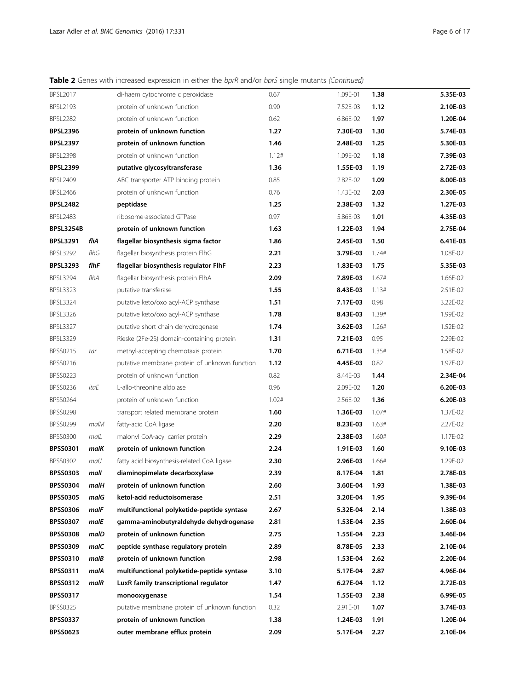Table 2 Genes with increased expression in either the bprR and/or bprS single mutants (Continued)

| <b>BPSL2017</b>  |      | di-haem cytochrome c peroxidase               | 0.67  | 1.09E-01 | 1.38  | 5.35E-03 |
|------------------|------|-----------------------------------------------|-------|----------|-------|----------|
| <b>BPSL2193</b>  |      | protein of unknown function                   | 0.90  | 7.52E-03 | 1.12  | 2.10E-03 |
| <b>BPSL2282</b>  |      | protein of unknown function                   | 0.62  | 6.86E-02 | 1.97  | 1.20E-04 |
| <b>BPSL2396</b>  |      | protein of unknown function                   | 1.27  | 7.30E-03 | 1.30  | 5.74E-03 |
| <b>BPSL2397</b>  |      | protein of unknown function                   | 1.46  | 2.48E-03 | 1.25  | 5.30E-03 |
| <b>BPSL2398</b>  |      | protein of unknown function                   | 1.12# | 1.09E-02 | 1.18  | 7.39E-03 |
| <b>BPSL2399</b>  |      | putative glycosyltransferase                  | 1.36  | 1.55E-03 | 1.19  | 2.72E-03 |
| <b>BPSL2409</b>  |      | ABC transporter ATP binding protein           | 0.85  | 2.82E-02 | 1.09  | 8.00E-03 |
| <b>BPSL2466</b>  |      | protein of unknown function                   | 0.76  | 1.43E-02 | 2.03  | 2.30E-05 |
| <b>BPSL2482</b>  |      | peptidase                                     | 1.25  | 2.38E-03 | 1.32  | 1.27E-03 |
| <b>BPSL2483</b>  |      | ribosome-associated GTPase                    | 0.97  | 5.86E-03 | 1.01  | 4.35E-03 |
| <b>BPSL3254B</b> |      | protein of unknown function                   | 1.63  | 1.22E-03 | 1.94  | 2.75E-04 |
| <b>BPSL3291</b>  | fliA | flagellar biosynthesis sigma factor           | 1.86  | 2.45E-03 | 1.50  | 6.41E-03 |
| <b>BPSL3292</b>  | flhG | flagellar biosynthesis protein FlhG           | 2.21  | 3.79E-03 | 1.74# | 1.08E-02 |
| <b>BPSL3293</b>  | flhF | flagellar biosynthesis regulator FlhF         | 2.23  | 1.83E-03 | 1.75  | 5.35E-03 |
| <b>BPSL3294</b>  | flhA | flagellar biosynthesis protein FlhA           | 2.09  | 7.89E-03 | 1.67# | 1.66E-02 |
| <b>BPSL3323</b>  |      | putative transferase                          | 1.55  | 8.43E-03 | 1.13# | 2.51E-02 |
| <b>BPSL3324</b>  |      | putative keto/oxo acyl-ACP synthase           | 1.51  | 7.17E-03 | 0.98  | 3.22E-02 |
| <b>BPSL3326</b>  |      | putative keto/oxo acyl-ACP synthase           | 1.78  | 8.43E-03 | 1.39# | 1.99E-02 |
| <b>BPSL3327</b>  |      | putative short chain dehydrogenase            | 1.74  | 3.62E-03 | 1.26# | 1.52E-02 |
| <b>BPSL3329</b>  |      | Rieske (2Fe-2S) domain-containing protein     | 1.31  | 7.21E-03 | 0.95  | 2.29E-02 |
| BPSS0215         | tar  | methyl-accepting chemotaxis protein           | 1.70  | 6.71E-03 | 1.35# | 1.58E-02 |
| BPSS0216         |      | putative membrane protein of unknown function | 1.12  | 4.45E-03 | 0.82  | 1.97E-02 |
| <b>BPSS0223</b>  |      | protein of unknown function                   | 0.82  | 8.44E-03 | 1.44  | 2.34E-04 |
| <b>BPSS0236</b>  | ltaE | L-allo-threonine aldolase                     | 0.96  | 2.09E-02 | 1.20  | 6.20E-03 |
| <b>BPSS0264</b>  |      | protein of unknown function                   | 1.02# | 2.56E-02 | 1.36  | 6.20E-03 |
| <b>BPSS0298</b>  |      | transport related membrane protein            | 1.60  | 1.36E-03 | 1.07# | 1.37E-02 |
| <b>BPSS0299</b>  | malM | fatty-acid CoA ligase                         | 2.20  | 8.23E-03 | 1.63# | 2.27E-02 |
| <b>BPSS0300</b>  | malL | malonyl CoA-acyl carrier protein              | 2.29  | 2.38E-03 | 1.60# | 1.17E-02 |
| <b>BPSS0301</b>  | malK | protein of unknown function                   | 2.24  | 1.91E-03 | 1.60  | 9.10E-03 |
| <b>BPSS0302</b>  | malJ | fatty acid biosynthesis-related CoA ligase    | 2.30  | 2.96E-03 | 1.66# | 1.29E-02 |
| <b>BPSS0303</b>  | mall | diaminopimelate decarboxylase                 | 2.39  | 8.17E-04 | 1.81  | 2.78E-03 |
| <b>BPSS0304</b>  | malH | protein of unknown function                   | 2.60  | 3.60E-04 | 1.93  | 1.38E-03 |
| <b>BPSS0305</b>  | malG | ketol-acid reductoisomerase                   | 2.51  | 3.20E-04 | 1.95  | 9.39E-04 |
| <b>BPSS0306</b>  | malF | multifunctional polyketide-peptide syntase    | 2.67  | 5.32E-04 | 2.14  | 1.38E-03 |
| <b>BPSS0307</b>  | malE | gamma-aminobutyraldehyde dehydrogenase        | 2.81  | 1.53E-04 | 2.35  | 2.60E-04 |
| <b>BPSS0308</b>  | malD | protein of unknown function                   | 2.75  | 1.55E-04 | 2.23  | 3.46E-04 |
| <b>BPSS0309</b>  | malC | peptide synthase regulatory protein           | 2.89  | 8.78E-05 | 2.33  | 2.10E-04 |
| <b>BPSS0310</b>  | malB | protein of unknown function                   | 2.98  | 1.53E-04 | 2.62  | 2.20E-04 |
| BPSS0311         | malA | multifunctional polyketide-peptide syntase    | 3.10  | 5.17E-04 | 2.87  | 4.96E-04 |
| <b>BPSS0312</b>  | malR | LuxR family transcriptional regulator         | 1.47  | 6.27E-04 | 1.12  | 2.72E-03 |
| BPSS0317         |      | monooxygenase                                 | 1.54  | 1.55E-03 | 2.38  | 6.99E-05 |
| BPSS0325         |      | putative membrane protein of unknown function | 0.32  | 2.91E-01 | 1.07  | 3.74E-03 |
| <b>BPSS0337</b>  |      | protein of unknown function                   | 1.38  | 1.24E-03 | 1.91  | 1.20E-04 |
| BPSS0623         |      | outer membrane efflux protein                 | 2.09  | 5.17E-04 | 2.27  | 2.10E-04 |
|                  |      |                                               |       |          |       |          |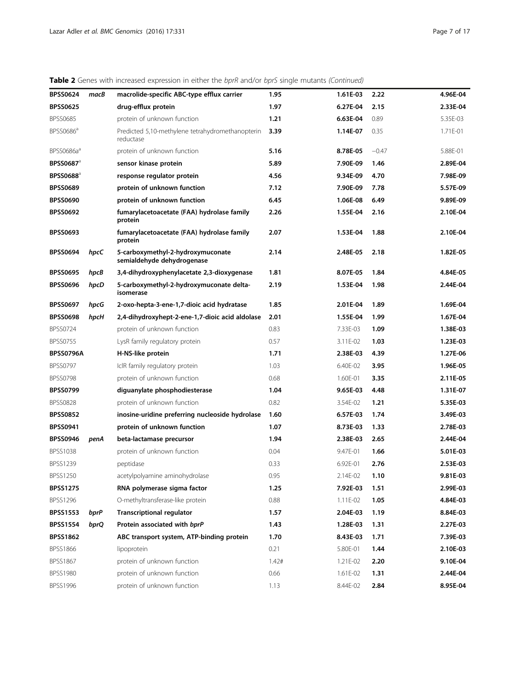| Table 2 Genes with increased expression in either the bprR and/or bprS single mutants (Continued) |  |  |
|---------------------------------------------------------------------------------------------------|--|--|

| <b>BPSS0624</b>        | тасВ | macrolide-specific ABC-type efflux carrier                      | 1.95  | 1.61E-03 | 2.22    | 4.96E-04 |
|------------------------|------|-----------------------------------------------------------------|-------|----------|---------|----------|
| <b>BPSS0625</b>        |      | drug-efflux protein                                             | 1.97  | 6.27E-04 | 2.15    | 2.33E-04 |
| <b>BPSS0685</b>        |      | protein of unknown function                                     | 1.21  | 6.63E-04 | 0.89    | 5.35E-03 |
| BPSS0686ª              |      | Predicted 5,10-methylene tetrahydromethanopterin<br>reductase   | 3.39  | 1.14E-07 | 0.35    | 1.71E-01 |
| BPSS0686a <sup>d</sup> |      | protein of unknown function                                     | 5.16  | 8.78E-05 | $-0.47$ | 5.88E-01 |
| <b>BPSS0687</b>        |      | sensor kinase protein                                           | 5.89  | 7.90E-09 | 1.46    | 2.89E-04 |
| <b>BPSS0688</b> ª      |      | response regulator protein                                      | 4.56  | 9.34E-09 | 4.70    | 7.98E-09 |
| <b>BPSS0689</b>        |      | protein of unknown function                                     | 7.12  | 7.90E-09 | 7.78    | 5.57E-09 |
| <b>BPSS0690</b>        |      | protein of unknown function                                     | 6.45  | 1.06E-08 | 6.49    | 9.89E-09 |
| <b>BPSS0692</b>        |      | fumarylacetoacetate (FAA) hydrolase family<br>protein           | 2.26  | 1.55E-04 | 2.16    | 2.10E-04 |
| <b>BPSS0693</b>        |      | fumarylacetoacetate (FAA) hydrolase family<br>protein           | 2.07  | 1.53E-04 | 1.88    | 2.10E-04 |
| <b>BPSS0694</b>        | hpcC | 5-carboxymethyl-2-hydroxymuconate<br>semialdehyde dehydrogenase | 2.14  | 2.48E-05 | 2.18    | 1.82E-05 |
| <b>BPSS0695</b>        | hpcB | 3,4-dihydroxyphenylacetate 2,3-dioxygenase                      | 1.81  | 8.07E-05 | 1.84    | 4.84E-05 |
| <b>BPSS0696</b>        | hpcD | 5-carboxymethyl-2-hydroxymuconate delta-<br>isomerase           | 2.19  | 1.53E-04 | 1.98    | 2.44E-04 |
| <b>BPSS0697</b>        | hpcG | 2-oxo-hepta-3-ene-1,7-dioic acid hydratase                      | 1.85  | 2.01E-04 | 1.89    | 1.69E-04 |
| <b>BPSS0698</b>        | hpcH | 2,4-dihydroxyhept-2-ene-1,7-dioic acid aldolase                 | 2.01  | 1.55E-04 | 1.99    | 1.67E-04 |
| <b>BPSS0724</b>        |      | protein of unknown function                                     | 0.83  | 7.33E-03 | 1.09    | 1.38E-03 |
| <b>BPSS0755</b>        |      | LysR family regulatory protein                                  | 0.57  | 3.11E-02 | 1.03    | 1.23E-03 |
| BPSS0796A              |      | H-NS-like protein                                               | 1.71  | 2.38E-03 | 4.39    | 1.27E-06 |
| <b>BPSS0797</b>        |      | IclR family regulatory protein                                  | 1.03  | 6.40E-02 | 3.95    | 1.96E-05 |
| <b>BPSS0798</b>        |      | protein of unknown function                                     | 0.68  | 1.60E-01 | 3.35    | 2.11E-05 |
| <b>BPSS0799</b>        |      | diguanylate phosphodiesterase                                   | 1.04  | 9.65E-03 | 4.48    | 1.31E-07 |
| <b>BPSS0828</b>        |      | protein of unknown function                                     | 0.82  | 3.54E-02 | 1.21    | 5.35E-03 |
| <b>BPSS0852</b>        |      | inosine-uridine preferring nucleoside hydrolase                 | 1.60  | 6.57E-03 | 1.74    | 3.49E-03 |
| <b>BPSS0941</b>        |      | protein of unknown function                                     | 1.07  | 8.73E-03 | 1.33    | 2.78E-03 |
| <b>BPSS0946</b>        | penA | beta-lactamase precursor                                        | 1.94  | 2.38E-03 | 2.65    | 2.44E-04 |
| <b>BPSS1038</b>        |      | protein of unknown function                                     | 0.04  | 9.47E-01 | 1.66    | 5.01E-03 |
| <b>BPSS1239</b>        |      | peptidase                                                       | 0.33  | 6.92E-01 | 2.76    | 2.53E-03 |
| BPSS1250               |      | acetylpolyamine aminohydrolase                                  | 0.95  | 2.14E-02 | 1.10    | 9.81E-03 |
| <b>BPSS1275</b>        |      | RNA polymerase sigma factor                                     | 1.25  | 7.92E-03 | 1.51    | 2.99E-03 |
| BPSS1296               |      | O-methyltransferase-like protein                                | 0.88  | 1.11E-02 | 1.05    | 4.84E-03 |
| <b>BPSS1553</b>        | bprP | <b>Transcriptional regulator</b>                                | 1.57  | 2.04E-03 | 1.19    | 8.84E-03 |
| <b>BPSS1554</b>        | bprQ | Protein associated with bprP                                    | 1.43  | 1.28E-03 | 1.31    | 2.27E-03 |
| <b>BPSS1862</b>        |      | ABC transport system, ATP-binding protein                       | 1.70  | 8.43E-03 | 1.71    | 7.39E-03 |
| BPSS1866               |      | lipoprotein                                                     | 0.21  | 5.80E-01 | 1.44    | 2.10E-03 |
| BPSS1867               |      | protein of unknown function                                     | 1.42# | 1.21E-02 | 2.20    | 9.10E-04 |
| <b>BPSS1980</b>        |      | protein of unknown function                                     | 0.66  | 1.61E-02 | 1.31    | 2.44E-04 |
| BPSS1996               |      | protein of unknown function                                     | 1.13  | 8.44E-02 | 2.84    | 8.95E-04 |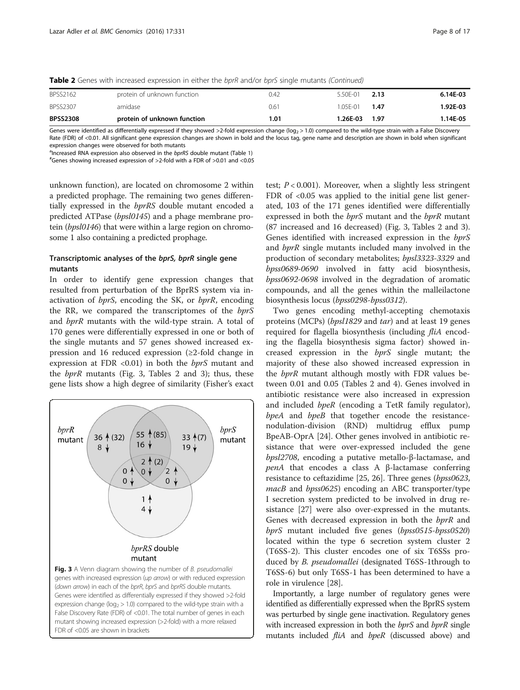| <b>BPSS2308</b> | protein of unknown function | 1.01 | 1.26E-03 | - 1.97 | 1.14E-05 |
|-----------------|-----------------------------|------|----------|--------|----------|
| BPSS2307        | amidase                     | 0.61 | 1.05F-01 | - 1.47 | 1.92E-03 |
| BPSS2162        | protein of unknown function | 0.42 | 5.50F-01 | -2.13  | 6.14E-03 |
|                 |                             |      |          |        |          |

Table 2 Genes with increased expression in either the bprR and/or bprS single mutants (Continued)

Genes were identified as differentially expressed if they showed >2-fold expression change ( $log_2$  > 1.0) compared to the wild-type strain with a False Discovery Rate (FDR) of <0.01. All significant gene expression changes are shown in bold and the locus tag, gene name and description are shown in bold when significant expression changes were observed for both mutants

<sup>a</sup> Increased RNA expression also observed in the *bprRS* double mutant (Table [1\)](#page-3-0)<sup>#</sup>Genes showing increased expression of  $>$ 2 fold with a FDP of  $>$ 0.01 and  $\leq$ 0.01

Genes showing increased expression of >2-fold with a FDR of >0.01 and <0.05

unknown function), are located on chromosome 2 within a predicted prophage. The remaining two genes differentially expressed in the bprRS double mutant encoded a predicted ATPase (bpsl0145) and a phage membrane protein (bpsl0146) that were within a large region on chromosome 1 also containing a predicted prophage.

#### Transcriptomic analyses of the bprS, bprR single gene mutants

In order to identify gene expression changes that resulted from perturbation of the BprRS system via inactivation of bprS, encoding the SK, or bprR, encoding the RR, we compared the transcriptomes of the bprS and bprR mutants with the wild-type strain. A total of 170 genes were differentially expressed in one or both of the single mutants and 57 genes showed increased expression and 16 reduced expression (≥2-fold change in expression at FDR  $\langle 0.01 \rangle$  in both the *bprS* mutant and the bprR mutants (Fig. 3, Tables [2](#page-4-0) and [3\)](#page-8-0); thus, these gene lists show a high degree of similarity (Fisher's exact



mutant showing increased expression (>2-fold) with a more relaxed

FDR of <0.05 are shown in brackets

test;  $P < 0.001$ ). Moreover, when a slightly less stringent FDR of <0.05 was applied to the initial gene list generated, 103 of the 171 genes identified were differentially expressed in both the bprS mutant and the bprR mutant (87 increased and 16 decreased) (Fig. 3, Tables [2](#page-4-0) and [3](#page-8-0)). Genes identified with increased expression in the bprS and bprR single mutants included many involved in the production of secondary metabolites; bpsl3323-3329 and bpss0689-0690 involved in fatty acid biosynthesis, bpss0692-0698 involved in the degradation of aromatic compounds, and all the genes within the malleilactone biosynthesis locus (bpss0298-bpss0312).

Two genes encoding methyl-accepting chemotaxis proteins (MCPs) (bpsl1829 and tar) and at least 19 genes required for flagella biosynthesis (including *fliA* encoding the flagella biosynthesis sigma factor) showed increased expression in the bprS single mutant; the majority of these also showed increased expression in the bprR mutant although mostly with FDR values between 0.01 and 0.05 (Tables [2](#page-4-0) and [4\)](#page-9-0). Genes involved in antibiotic resistance were also increased in expression and included bpeR (encoding a TetR family regulator), bpeA and bpeB that together encode the resistancenodulation-division (RND) multidrug efflux pump BpeAB-OprA [\[24](#page-16-0)]. Other genes involved in antibiotic resistance that were over-expressed included the gene bpsl2708, encoding a putative metallo-β-lactamase, and  $penA$  that encodes a class A β-lactamase conferring resistance to ceftazidime [\[25, 26\]](#page-16-0). Three genes (bpss0623, macB and bpss0625) encoding an ABC transporter/type I secretion system predicted to be involved in drug resistance [[27](#page-16-0)] were also over-expressed in the mutants. Genes with decreased expression in both the bprR and bprS mutant included five genes (bpss0515-bpss0520) located within the type 6 secretion system cluster 2 (T6SS-2). This cluster encodes one of six T6SSs produced by B. pseudomallei (designated T6SS-1through to T6SS-6) but only T6SS-1 has been determined to have a role in virulence [[28](#page-16-0)].

Importantly, a large number of regulatory genes were identified as differentially expressed when the BprRS system was perturbed by single gene inactivation. Regulatory genes with increased expression in both the *bprS* and *bprR* single mutants included *fliA* and *bpeR* (discussed above) and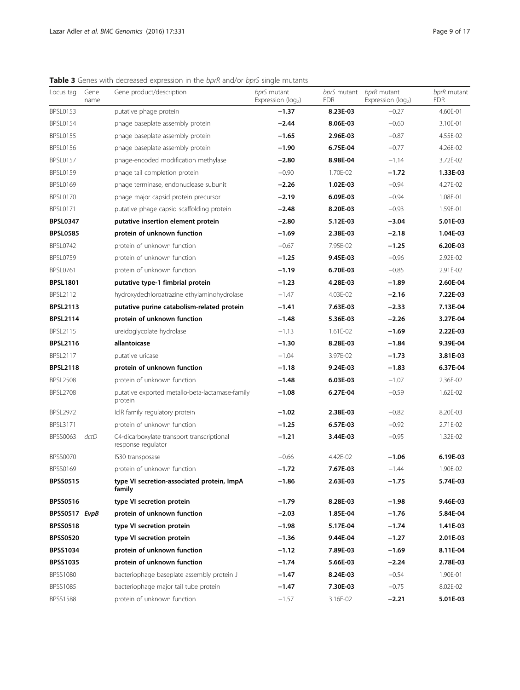<span id="page-8-0"></span>Table 3 Genes with decreased expression in the bprR and/or bprS single mutants

|                 |              | <b>Rable 3</b> Genes with accreased expression in the <i>upin</i> and/or <i>upis</i> single mutants |                                  |            |                                                           |                           |
|-----------------|--------------|-----------------------------------------------------------------------------------------------------|----------------------------------|------------|-----------------------------------------------------------|---------------------------|
| Locus tag       | Gene<br>name | Gene product/description                                                                            | bprS mutant<br>Expression (log2) | <b>FDR</b> | bprS mutant bprR mutant<br>Expression (log <sub>2</sub> ) | bprR mutant<br><b>FDR</b> |
| BPSL0153        |              | putative phage protein                                                                              | $-1.37$                          | 8.23E-03   | $-0.27$                                                   | 4.60E-01                  |
| <b>BPSL0154</b> |              | phage baseplate assembly protein                                                                    | $-2.44$                          | 8.06E-03   | $-0.60$                                                   | 3.10E-01                  |
| <b>BPSL0155</b> |              | phage baseplate assembly protein                                                                    | $-1.65$                          | 2.96E-03   | $-0.87$                                                   | 4.55E-02                  |
| <b>BPSL0156</b> |              | phage baseplate assembly protein                                                                    | $-1.90$                          | 6.75E-04   | $-0.77$                                                   | 4.26E-02                  |
| <b>BPSL0157</b> |              | phage-encoded modification methylase                                                                | $-2.80$                          | 8.98E-04   | $-1.14$                                                   | 3.72E-02                  |
| <b>BPSL0159</b> |              | phage tail completion protein                                                                       | $-0.90$                          | 1.70E-02   | $-1.72$                                                   | 1.33E-03                  |
| <b>BPSL0169</b> |              | phage terminase, endonuclease subunit                                                               | $-2.26$                          | 1.02E-03   | $-0.94$                                                   | 4.27E-02                  |
| <b>BPSL0170</b> |              | phage major capsid protein precursor                                                                | $-2.19$                          | 6.09E-03   | $-0.94$                                                   | 1.08E-01                  |
| <b>BPSL0171</b> |              | putative phage capsid scaffolding protein                                                           | $-2.48$                          | 8.20E-03   | $-0.93$                                                   | 1.59E-01                  |
| <b>BPSL0347</b> |              | putative insertion element protein                                                                  | $-2.80$                          | 5.12E-03   | $-3.04$                                                   | 5.01E-03                  |
| <b>BPSL0585</b> |              | protein of unknown function                                                                         | $-1.69$                          | 2.38E-03   | $-2.18$                                                   | 1.04E-03                  |
| <b>BPSL0742</b> |              | protein of unknown function                                                                         | $-0.67$                          | 7.95E-02   | $-1.25$                                                   | 6.20E-03                  |
| <b>BPSL0759</b> |              | protein of unknown function                                                                         | $-1.25$                          | 9.45E-03   | $-0.96$                                                   | 2.92E-02                  |
| <b>BPSL0761</b> |              | protein of unknown function                                                                         | $-1.19$                          | 6.70E-03   | $-0.85$                                                   | 2.91E-02                  |
| <b>BPSL1801</b> |              | putative type-1 fimbrial protein                                                                    | $-1.23$                          | 4.28E-03   | $-1.89$                                                   | 2.60E-04                  |
| <b>BPSL2112</b> |              | hydroxydechloroatrazine ethylaminohydrolase                                                         | $-1.47$                          | 4.03E-02   | $-2.16$                                                   | 7.22E-03                  |
| <b>BPSL2113</b> |              | putative purine catabolism-related protein                                                          | $-1.41$                          | 7.63E-03   | $-2.33$                                                   | 7.13E-04                  |
| <b>BPSL2114</b> |              | protein of unknown function                                                                         | $-1.48$                          | 5.36E-03   | $-2.26$                                                   | 3.27E-04                  |
| <b>BPSL2115</b> |              | ureidoglycolate hydrolase                                                                           | $-1.13$                          | 1.61E-02   | $-1.69$                                                   | 2.22E-03                  |
| <b>BPSL2116</b> |              | allantoicase                                                                                        | $-1.30$                          | 8.28E-03   | $-1.84$                                                   | 9.39E-04                  |
| <b>BPSL2117</b> |              | putative uricase                                                                                    | $-1.04$                          | 3.97E-02   | $-1.73$                                                   | 3.81E-03                  |
| <b>BPSL2118</b> |              | protein of unknown function                                                                         | $-1.18$                          | 9.24E-03   | $-1.83$                                                   | 6.37E-04                  |
| <b>BPSL2508</b> |              | protein of unknown function                                                                         | $-1.48$                          | 6.03E-03   | $-1.07$                                                   | 2.36E-02                  |
| <b>BPSL2708</b> |              | putative exported metallo-beta-lactamase-family<br>protein                                          | $-1.08$                          | 6.27E-04   | $-0.59$                                                   | 1.62E-02                  |
| <b>BPSL2972</b> |              | IclR family regulatory protein                                                                      | $-1.02$                          | 2.38E-03   | $-0.82$                                                   | 8.20E-03                  |
| <b>BPSL3171</b> |              | protein of unknown function                                                                         | $-1.25$                          | 6.57E-03   | $-0.92$                                                   | 2.71E-02                  |
| BPSS0063        | dctD         | C4-dicarboxylate transport transcriptional<br>response regulator                                    | $-1.21$                          | 3.44E-03   | $-0.95$                                                   | 1.32E-02                  |
| <b>BPSS0070</b> |              | IS30 transposase                                                                                    | $-0.66$                          | 4.42E-02   | $-1.06$                                                   | 6.19E-03                  |
| <b>BPSS0169</b> |              | protein of unknown function                                                                         | $-1.72$                          | 7.67E-03   | $-1.44$                                                   | 1.90E-02                  |
| <b>BPSS0515</b> |              | type VI secretion-associated protein, ImpA<br>family                                                | $-1.86$                          | 2.63E-03   | $-1.75$                                                   | 5.74E-03                  |
| <b>BPSS0516</b> |              | type VI secretion protein                                                                           | $-1.79$                          | 8.28E-03   | $-1.98$                                                   | 9.46E-03                  |
| BPSS0517 EvpB   |              | protein of unknown function                                                                         | $-2.03$                          | 1.85E-04   | $-1.76$                                                   | 5.84E-04                  |
| <b>BPSS0518</b> |              | type VI secretion protein                                                                           | $-1.98$                          | 5.17E-04   | $-1.74$                                                   | 1.41E-03                  |
| <b>BPSS0520</b> |              | type VI secretion protein                                                                           | $-1.36$                          | 9.44E-04   | $-1.27$                                                   | 2.01E-03                  |
| BPSS1034        |              | protein of unknown function                                                                         | $-1.12$                          | 7.89E-03   | $-1.69$                                                   | 8.11E-04                  |
| <b>BPSS1035</b> |              | protein of unknown function                                                                         | $-1.74$                          | 5.66E-03   | $-2.24$                                                   | 2.78E-03                  |
| <b>BPSS1080</b> |              | bacteriophage baseplate assembly protein J                                                          | $-1.47$                          | 8.24E-03   | $-0.54$                                                   | 1.90E-01                  |
| <b>BPSS1085</b> |              | bacteriophage major tail tube protein                                                               | $-1.47$                          | 7.30E-03   | $-0.75$                                                   | 8.02E-02                  |
| <b>BPSS1588</b> |              | protein of unknown function                                                                         | $-1.57$                          | 3.16E-02   | $-2.21$                                                   | 5.01E-03                  |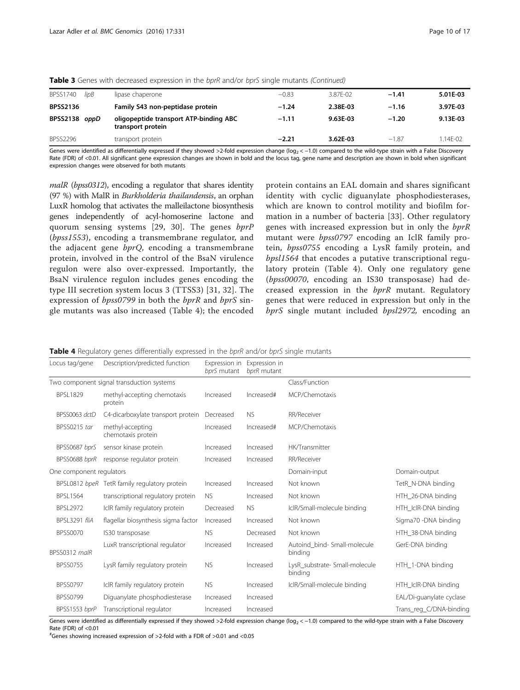| <b>BPSS1740</b> | lipB | lipase chaperone                                            | $-0.83$ | 3.87F-02   | $-1.41$ | 5.01E-03 |
|-----------------|------|-------------------------------------------------------------|---------|------------|---------|----------|
| <b>BPSS2136</b> |      | Family S43 non-peptidase protein                            | $-1.24$ | 2.38E-03   | $-1.16$ | 3.97E-03 |
| BPSS2138 oppD   |      | oligopeptide transport ATP-binding ABC<br>transport protein | $-1.11$ | $9.63E-03$ | $-1.20$ | 9.13E-03 |
| <b>BPSS2296</b> |      | transport protein                                           | $-2.21$ | 3.62E-03   | $-1.87$ | 1.14F-02 |

<span id="page-9-0"></span>Table 3 Genes with decreased expression in the bprR and/or bprS single mutants (Continued)

Genes were identified as differentially expressed if they showed >2-fold expression change (log<sub>2</sub> < -1.0) compared to the wild-type strain with a False Discovery Rate (FDR) of <0.01. All significant gene expression changes are shown in bold and the locus tag, gene name and description are shown in bold when significant expression changes were observed for both mutants

malR (bpss0312), encoding a regulator that shares identity (97 %) with MalR in Burkholderia thailandensis, an orphan LuxR homolog that activates the malleilactone biosynthesis genes independently of acyl-homoserine lactone and quorum sensing systems [[29](#page-16-0), [30](#page-16-0)]. The genes bprP (bpss1553), encoding a transmembrane regulator, and the adjacent gene bprQ, encoding a transmembrane protein, involved in the control of the BsaN virulence regulon were also over-expressed. Importantly, the BsaN virulence regulon includes genes encoding the type III secretion system locus 3 (TTSS3) [[31, 32](#page-16-0)]. The expression of *bpss0799* in both the *bprR* and *bprS* single mutants was also increased (Table 4); the encoded

protein contains an EAL domain and shares significant identity with cyclic diguanylate phosphodiesterases, which are known to control motility and biofilm formation in a number of bacteria [\[33\]](#page-16-0). Other regulatory genes with increased expression but in only the bprR mutant were bpss0797 encoding an IclR family protein, bpss0755 encoding a LysR family protein, and bpsl1564 that encodes a putative transcriptional regulatory protein (Table 4). Only one regulatory gene (bpss00070, encoding an IS30 transposase) had decreased expression in the bprR mutant. Regulatory genes that were reduced in expression but only in the bprS single mutant included bpsl2972, encoding an

Table 4 Regulatory genes differentially expressed in the bprR and/or bprS single mutants

| Locus tag/gene           | Description/predicted function               | Expression in<br>bprS mutant | Expression in<br>bprR mutant |                                           |                          |
|--------------------------|----------------------------------------------|------------------------------|------------------------------|-------------------------------------------|--------------------------|
|                          | Two component signal transduction systems    |                              |                              | Class/Function                            |                          |
| <b>BPSI 1829</b>         | methyl-accepting chemotaxis<br>protein       | Increased                    | Increased#                   | MCP/Chemotaxis                            |                          |
| BPSS0063 dctD            | C4-dicarboxylate transport protein           | Decreased                    | <b>NS</b>                    | RR/Receiver                               |                          |
| BPSS0215 tar             | methyl-accepting<br>chemotaxis protein       | Increased                    | Increased#                   | MCP/Chemotaxis                            |                          |
| BPSS0687 bprS            | sensor kinase protein                        | Increased                    | Increased                    | HK/Transmitter                            |                          |
| BPSS0688 bprR            | response regulator protein                   | Increased                    | Increased                    | RR/Receiver                               |                          |
| One component regulators |                                              |                              |                              | Domain-input                              | Domain-output            |
|                          | BPSL0812 bpeR TetR family requlatory protein | Increased                    | Increased                    | Not known                                 | TetR N-DNA binding       |
| <b>BPSL1564</b>          | transcriptional regulatory protein           | <b>NS</b>                    | Increased                    | Not known                                 | HTH 26-DNA binding       |
| <b>BPSL2972</b>          | IclR family regulatory protein               | Decreased                    | <b>NS</b>                    | IclR/Small-molecule binding               | HTH_IclR-DNA binding     |
| BPSL3291 fliA            | flagellar biosynthesis sigma factor          | Increased                    | Increased                    | Not known                                 | Sigma70 -DNA binding     |
| <b>BPSS0070</b>          | IS30 transposase                             | <b>NS</b>                    | Decreased                    | Not known                                 | HTH_38-DNA binding       |
| BPSS0312 malR            | LuxR transcriptional regulator               | Increased                    | Increased                    | Autoind bind- Small-molecule<br>binding   | GerE-DNA binding         |
| <b>BPSS0755</b>          | LysR family regulatory protein               | <b>NS</b>                    | Increased                    | LysR substrate- Small-molecule<br>binding | HTH 1-DNA binding        |
| <b>BPSS0797</b>          | IclR family regulatory protein               | <b>NS</b>                    | Increased                    | IclR/Small-molecule binding               | HTH IclR-DNA binding     |
| <b>BPSS0799</b>          | Diguanylate phosphodiesterase                | Increased                    | Increased                    |                                           | EAL/Di-guanylate cyclase |
| BPSS1553 bprP            | Transcriptional regulator                    | Increased                    | Increased                    |                                           | Trans_reg_C/DNA-binding  |

Genes were identified as differentially expressed if they showed >2-fold expression change ( $log_2 < -1.0$ ) compared to the wild-type strain with a False Discovery Rate (FDR) of <0.01

# Genes showing increased expression of >2-fold with a FDR of >0.01 and <0.05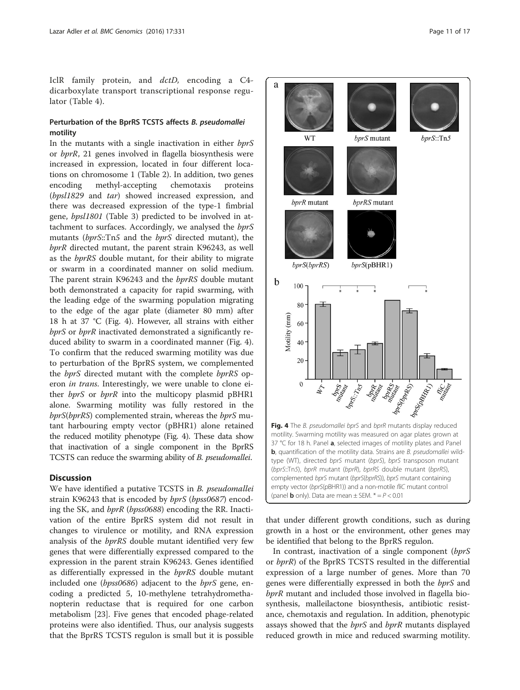IclR family protein, and dctD, encoding a C4 dicarboxylate transport transcriptional response regulator (Table [4](#page-9-0)).

#### Perturbation of the BprRS TCSTS affects B. pseudomallei motility

In the mutants with a single inactivation in either bprS or bprR, 21 genes involved in flagella biosynthesis were increased in expression, located in four different locations on chromosome 1 (Table [2\)](#page-4-0). In addition, two genes encoding methyl-accepting chemotaxis proteins (bpsl1829 and tar) showed increased expression, and there was decreased expression of the type-1 fimbrial gene, bpsl1801 (Table [3](#page-8-0)) predicted to be involved in attachment to surfaces. Accordingly, we analysed the bprS mutants (bprS::Tn5 and the bprS directed mutant), the bprR directed mutant, the parent strain K96243, as well as the bprRS double mutant, for their ability to migrate or swarm in a coordinated manner on solid medium. The parent strain K96243 and the bprRS double mutant both demonstrated a capacity for rapid swarming, with the leading edge of the swarming population migrating to the edge of the agar plate (diameter 80 mm) after 18 h at 37 °C (Fig. 4). However, all strains with either bprS or bprR inactivated demonstrated a significantly reduced ability to swarm in a coordinated manner (Fig. 4). To confirm that the reduced swarming motility was due to perturbation of the BprRS system, we complemented the bprS directed mutant with the complete bprRS operon in trans. Interestingly, we were unable to clone either *bprS* or *bprR* into the multicopy plasmid pBHR1 alone. Swarming motility was fully restored in the bprS(bprRS) complemented strain, whereas the bprS mutant harbouring empty vector (pBHR1) alone retained the reduced motility phenotype (Fig. 4). These data show that inactivation of a single component in the BprRS TCSTS can reduce the swarming ability of B. pseudomallei.

#### **Discussion**

We have identified a putative TCSTS in B. pseudomallei strain K96243 that is encoded by bprS (bpss0687) encoding the SK, and bprR (bpss0688) encoding the RR. Inactivation of the entire BprRS system did not result in changes to virulence or motility, and RNA expression analysis of the bprRS double mutant identified very few genes that were differentially expressed compared to the expression in the parent strain K96243. Genes identified as differentially expressed in the bprRS double mutant included one (bpss0686) adjacent to the bprS gene, encoding a predicted 5, 10-methylene tetrahydromethanopterin reductase that is required for one carbon metabolism [\[23\]](#page-16-0). Five genes that encoded phage-related proteins were also identified. Thus, our analysis suggests that the BprRS TCSTS regulon is small but it is possible



that under different growth conditions, such as during growth in a host or the environment, other genes may be identified that belong to the BprRS regulon.

In contrast, inactivation of a single component (bprS or *bprR*) of the BprRS TCSTS resulted in the differential expression of a large number of genes. More than 70 genes were differentially expressed in both the bprS and bprR mutant and included those involved in flagella biosynthesis, malleilactone biosynthesis, antibiotic resistance, chemotaxis and regulation. In addition, phenotypic assays showed that the *bprS* and *bprR* mutants displayed reduced growth in mice and reduced swarming motility.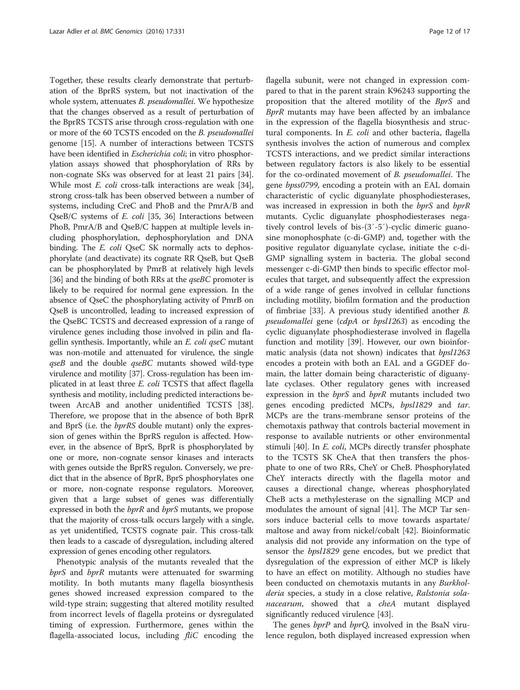Together, these results clearly demonstrate that perturbation of the BprRS system, but not inactivation of the whole system, attenuates *B. pseudomallei*. We hypothesize that the changes observed as a result of perturbation of the BprRS TCSTS arise through cross-regulation with one or more of the 60 TCSTS encoded on the B. pseudomallei genome [[15](#page-15-0)]. A number of interactions between TCSTS have been identified in *Escherichia coli*; in vitro phosphorylation assays showed that phosphorylation of RRs by non-cognate SKs was observed for at least 21 pairs [[34](#page-16-0)]. While most *E. coli* cross-talk interactions are weak [[34](#page-16-0)], strong cross-talk has been observed between a number of systems, including CreC and PhoB and the PmrA/B and QseB/C systems of E. coli [\[35](#page-16-0), [36](#page-16-0)] Interactions between PhoB, PmrA/B and QseB/C happen at multiple levels including phosphorylation, dephosphorylation and DNA binding. The *E. coli* QseC SK normally acts to dephosphorylate (and deactivate) its cognate RR QseB, but QseB can be phosphorylated by PmrB at relatively high levels [[36](#page-16-0)] and the binding of both RRs at the *qseBC* promoter is likely to be required for normal gene expression. In the absence of QseC the phosphorylating activity of PmrB on QseB is uncontrolled, leading to increased expression of the QseBC TCSTS and decreased expression of a range of virulence genes including those involved in pilin and flagellin synthesis. Importantly, while an E. coli qseC mutant was non-motile and attenuated for virulence, the single qseB and the double qseBC mutants showed wild-type virulence and motility [[37](#page-16-0)]. Cross-regulation has been implicated in at least three E. coli TCSTS that affect flagella synthesis and motility, including predicted interactions between ArcAB and another unidentified TCSTS [[38](#page-16-0)]. Therefore, we propose that in the absence of both BprR and BprS (i.e. the bprRS double mutant) only the expression of genes within the BprRS regulon is affected. However, in the absence of BprS, BprR is phosphorylated by one or more, non-cognate sensor kinases and interacts with genes outside the BprRS regulon. Conversely, we predict that in the absence of BprR, BprS phosphorylates one or more, non-cognate response regulators. Moreover, given that a large subset of genes was differentially expressed in both the bprR and bprS mutants, we propose that the majority of cross-talk occurs largely with a single, as yet unidentified, TCSTS cognate pair. This cross-talk then leads to a cascade of dysregulation, including altered expression of genes encoding other regulators.

Phenotypic analysis of the mutants revealed that the bprS and bprR mutants were attenuated for swarming motility. In both mutants many flagella biosynthesis genes showed increased expression compared to the wild-type strain; suggesting that altered motility resulted from incorrect levels of flagella proteins or dysregulated timing of expression. Furthermore, genes within the flagella-associated locus, including  $\textit{filC}$  encoding the

flagella subunit, were not changed in expression compared to that in the parent strain K96243 supporting the proposition that the altered motility of the BprS and BprR mutants may have been affected by an imbalance in the expression of the flagella biosynthesis and structural components. In E. coli and other bacteria, flagella synthesis involves the action of numerous and complex TCSTS interactions, and we predict similar interactions between regulatory factors is also likely to be essential for the co-ordinated movement of B. pseudomallei. The gene bpss0799, encoding a protein with an EAL domain characteristic of cyclic diguanylate phosphodiesterases, was increased in expression in both the *bprS* and *bprR* mutants. Cyclic diguanylate phosphodiesterases negatively control levels of bis-(3′-5′)-cyclic dimeric guanosine monophosphate (c-di-GMP) and, together with the positive regulator diguanylate cyclase, initiate the c-di-GMP signalling system in bacteria. The global second messenger c-di-GMP then binds to specific effector molecules that target, and subsequently affect the expression of a wide range of genes involved in cellular functions including motility, biofilm formation and the production of fimbriae [[33\]](#page-16-0). A previous study identified another B. pseudomallei gene (cdpA or bpsl1263) as encoding the cyclic diguanylate phosphodiesterase involved in flagella function and motility [\[39](#page-16-0)]. However, our own bioinformatic analysis (data not shown) indicates that bpsl1263 encodes a protein with both an EAL and a GGDEF domain, the latter domain being characteristic of diguanylate cyclases. Other regulatory genes with increased expression in the bprS and bprR mutants included two genes encoding predicted MCPs, bpsl1829 and tar. MCPs are the trans-membrane sensor proteins of the chemotaxis pathway that controls bacterial movement in response to available nutrients or other environmental stimuli [\[40](#page-16-0)]. In E. coli, MCPs directly transfer phosphate to the TCSTS SK CheA that then transfers the phosphate to one of two RRs, CheY or CheB. Phosphorylated CheY interacts directly with the flagella motor and causes a directional change, whereas phosphorylated CheB acts a methylesterase on the signalling MCP and modulates the amount of signal [\[41\]](#page-16-0). The MCP Tar sensors induce bacterial cells to move towards aspartate/ maltose and away from nickel/cobalt [\[42\]](#page-16-0). Bioinformatic analysis did not provide any information on the type of sensor the bpsl1829 gene encodes, but we predict that dysregulation of the expression of either MCP is likely to have an effect on motility. Although no studies have been conducted on chemotaxis mutants in any Burkholderia species, a study in a close relative, Ralstonia solanacearum, showed that a cheA mutant displayed significantly reduced virulence [\[43](#page-16-0)].

The genes *bprP* and *bprQ*, involved in the BsaN virulence regulon, both displayed increased expression when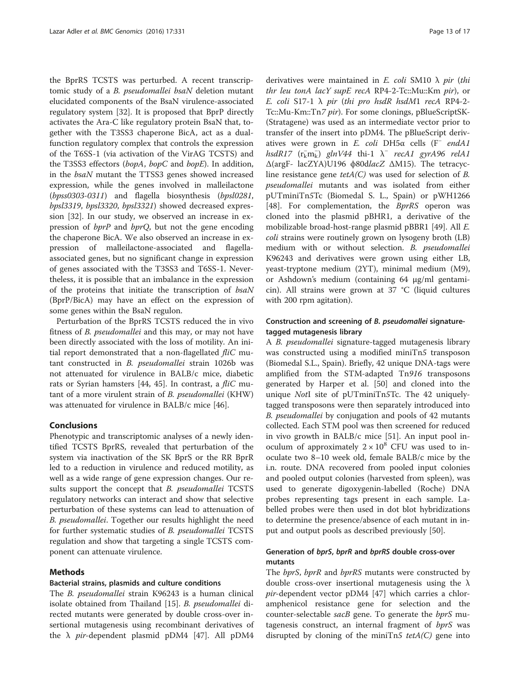the BprRS TCSTS was perturbed. A recent transcriptomic study of a B. pseudomallei bsaN deletion mutant elucidated components of the BsaN virulence-associated regulatory system [\[32](#page-16-0)]. It is proposed that BprP directly activates the Ara-C like regulatory protein BsaN that, together with the T3SS3 chaperone BicA, act as a dualfunction regulatory complex that controls the expression of the T6SS-1 (via activation of the VirAG TCSTS) and the T3SS3 effectors (bopA, bopC and bopE). In addition, in the bsaN mutant the TTSS3 genes showed increased expression, while the genes involved in malleilactone (bpss0303-0311) and flagella biosynthesis (bpsl0281, bpsl3319, bpsl3320, bpsl3321) showed decreased expression [[32\]](#page-16-0). In our study, we observed an increase in expression of bprP and bprQ, but not the gene encoding the chaperone BicA. We also observed an increase in expression of malleilactone-associated and flagellaassociated genes, but no significant change in expression of genes associated with the T3SS3 and T6SS-1. Nevertheless, it is possible that an imbalance in the expression of the proteins that initiate the transcription of bsaN (BprP/BicA) may have an effect on the expression of some genes within the BsaN regulon.

Perturbation of the BprRS TCSTS reduced the in vivo fitness of B. pseudomallei and this may, or may not have been directly associated with the loss of motility. An initial report demonstrated that a non-flagellated fliC mutant constructed in B. pseudomallei strain 1026b was not attenuated for virulence in BALB/c mice, diabetic rats or Syrian hamsters [[44, 45](#page-16-0)]. In contrast, a fliC mutant of a more virulent strain of B. pseudomallei (KHW) was attenuated for virulence in BALB/c mice [\[46](#page-16-0)].

#### Conclusions

Phenotypic and transcriptomic analyses of a newly identified TCSTS BprRS, revealed that perturbation of the system via inactivation of the SK BprS or the RR BprR led to a reduction in virulence and reduced motility, as well as a wide range of gene expression changes. Our results support the concept that B. pseudomallei TCSTS regulatory networks can interact and show that selective perturbation of these systems can lead to attenuation of B. pseudomallei. Together our results highlight the need for further systematic studies of B. pseudomallei TCSTS regulation and show that targeting a single TCSTS component can attenuate virulence.

#### Methods

#### Bacterial strains, plasmids and culture conditions

The B. pseudomallei strain K96243 is a human clinical isolate obtained from Thailand [[15](#page-15-0)]. B. pseudomallei directed mutants were generated by double cross-over insertional mutagenesis using recombinant derivatives of the  $\lambda$  *pir*-dependent plasmid pDM4 [[47](#page-16-0)]. All pDM4 derivatives were maintained in E. coli SM10  $\lambda$  pir (thi thr leu tonA lacY supE recA RP4-2-Tc::Mu::Km pir), or E. coli S17-1  $\lambda$  pir (thi pro hsdR hsdM1 recA RP4-2-Tc::Mu-Km::Tn7 *pir*). For some clonings, pBlueScriptSK-(Stratagene) was used as an intermediate vector prior to transfer of the insert into pDM4. The pBlueScript derivatives were grown in E. coli DH5α cells (F<sup>−</sup> endA1 hsdR17  $(r_k^- m_k^-)$  glnV44 thi-1  $\lambda^-$  recA1 gyrA96 relA1 Δ(argF- lacZYA)U196 ϕ80dlacZ ΔM15). The tetracycline resistance gene  $tetA(C)$  was used for selection of B. pseudomallei mutants and was isolated from either pUTminiTn5Tc (Biomedal S. L., Spain) or pWH1266 [[48\]](#page-16-0). For complementation, the BprRS operon was cloned into the plasmid pBHR1, a derivative of the mobilizable broad-host-range plasmid pBBR1 [\[49](#page-16-0)]. All E. coli strains were routinely grown on lysogeny broth (LB) medium with or without selection. B. pseudomallei K96243 and derivatives were grown using either LB, yeast-tryptone medium (2YT), minimal medium (M9), or Ashdown's medium (containing 64 μg/ml gentamicin). All strains were grown at 37 °C (liquid cultures with 200 rpm agitation).

#### Construction and screening of B. pseudomallei signaturetagged mutagenesis library

A B. pseudomallei signature-tagged mutagenesis library was constructed using a modified miniTn5 transposon (Biomedal S.L., Spain). Briefly, 42 unique DNA-tags were amplified from the STM-adapted Tn916 transposons generated by Harper et al. [\[50](#page-16-0)] and cloned into the unique NotI site of pUTminiTn5Tc. The 42 uniquelytagged transposons were then separately introduced into B. pseudomallei by conjugation and pools of 42 mutants collected. Each STM pool was then screened for reduced in vivo growth in BALB/c mice [\[51](#page-16-0)]. An input pool inoculum of approximately  $2 \times 10^8$  CFU was used to inoculate two 8–10 week old, female BALB/c mice by the i.n. route. DNA recovered from pooled input colonies and pooled output colonies (harvested from spleen), was used to generate digoxygenin-labelled (Roche) DNA probes representing tags present in each sample. Labelled probes were then used in dot blot hybridizations to determine the presence/absence of each mutant in input and output pools as described previously [[50\]](#page-16-0).

#### Generation of bprS, bprR and bprRS double cross-over mutants

The *bprS*, *bprR* and *bprRS* mutants were constructed by double cross-over insertional mutagenesis using the  $λ$ pir-dependent vector pDM4 [\[47](#page-16-0)] which carries a chloramphenicol resistance gene for selection and the counter-selectable sacB gene. To generate the bprS mutagenesis construct, an internal fragment of bprS was disrupted by cloning of the miniTn5  $tetA(C)$  gene into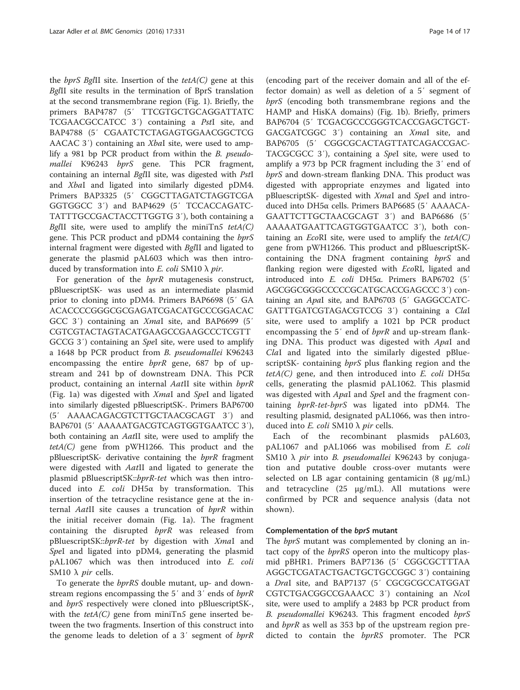the *bprS BglII* site. Insertion of the  $tetA(C)$  gene at this BglII site results in the termination of BprS translation at the second transmembrane region (Fig. [1](#page-2-0)). Briefly, the primers BAP4787 (5′ TTCGTGCTGCAGGATTATC TCGAACGCCATCC 3′) containing a PstI site, and BAP4788 (5′ CGAATCTCTAGAGTGGAACGGCTCG AACAC 3<sup>'</sup>) containing an *XbaI* site, were used to amplify a 981 bp PCR product from within the B. pseudomallei K96243 bprS gene. This PCR fragment, containing an internal BglII site, was digested with PstI and XbaI and ligated into similarly digested pDM4. Primers BAP3325 (5′ CGGCTTAGATCTAGGTCGA GGTGGCC 3′) and BAP4629 (5′ TCCACCAGATC-TATTTGCCGACTACCTTGGTG 3′), both containing a BglII site, were used to amplify the miniTn5  $tetA(C)$ gene. This PCR product and pDM4 containing the bprS internal fragment were digested with BglII and ligated to generate the plasmid pAL603 which was then introduced by transformation into E. coli SM10  $\lambda$  pir.

For generation of the bprR mutagenesis construct, pBluescriptSK- was used as an intermediate plasmid prior to cloning into pDM4. Primers BAP6698 (5′ GA ACACCCCGGGCGCGAGATCGACATGCCCGGACAC GCC 3<sup>'</sup>) containing an *Xmal* site, and BAP6699 (5<sup>'</sup> CGTCGTACTAGTACATGAAGCCGAAGCCCTCGTT GCCG 3<sup>'</sup>) containing an *SpeI* site, were used to amplify a 1648 bp PCR product from B. pseudomallei K96243 encompassing the entire bprR gene, 687 bp of upstream and 241 bp of downstream DNA. This PCR product, containing an internal AatII site within bprR (Fig. [1a](#page-2-0)) was digested with XmaI and SpeI and ligated into similarly digested pBluescriptSK-. Primers BAP6700 (5′ AAAACAGACGTCTTGCTAACGCAGT 3′) and BAP6701 (5′ AAAAATGACGTCAGTGGTGAATCC 3′), both containing an AatII site, were used to amplify the tetA(C) gene from pWH1266. This product and the pBluescriptSK- derivative containing the bprR fragment were digested with AatII and ligated to generate the plasmid pBluescriptSK::bprR-tet which was then introduced into E. coli DH5α by transformation. This insertion of the tetracycline resistance gene at the internal AatII site causes a truncation of bprR within the initial receiver domain (Fig. [1a](#page-2-0)). The fragment containing the disrupted bprR was released from pBluescriptSK::bprR-tet by digestion with XmaI and SpeI and ligated into pDM4, generating the plasmid pAL1067 which was then introduced into E. coli SM10  $\lambda$  *pir* cells.

To generate the *bprRS* double mutant, up- and downstream regions encompassing the 5′ and 3′ ends of bprR and bprS respectively were cloned into pBluescriptSK-, with the  $tetA(C)$  gene from miniTn5 gene inserted between the two fragments. Insertion of this construct into the genome leads to deletion of a 3′ segment of bprR

(encoding part of the receiver domain and all of the effector domain) as well as deletion of a 5′ segment of bprS (encoding both transmembrane regions and the HAMP and HisKA domains) (Fig. [1b\)](#page-2-0). Briefly, primers BAP6704 (5′ TCGACGCCCGGGTCACCGAGCTGCT-GACGATCGGC 3′) containing an XmaI site, and BAP6705 (5′ CGGCGCACTAGTTATCAGACCGAC-TACGCGCC 3'), containing a SpeI site, were used to amplify a 973 bp PCR fragment including the 3′ end of bprS and down-stream flanking DNA. This product was digested with appropriate enzymes and ligated into pBluescriptSK- digested with XmaI and SpeI and introduced into DH5α cells. Primers BAP6685 (5′ AAAACA-GAATTCTTGCTAACGCAGT 3′) and BAP6686 (5′ AAAAATGAATTCAGTGGTGAATCC 3′), both containing an  $EcoRI$  site, were used to amplify the  $tetA(C)$ gene from pWH1266. This product and pBluescriptSKcontaining the DNA fragment containing bprS and flanking region were digested with EcoRI, ligated and introduced into E. coli DH5α. Primers BAP6702 (5′ AGCGGCGGGCCCCCGCATGCACCGAGCCC 3′) containing an ApaI site, and BAP6703 (5' GAGGCCATC-GATTTGATCGTAGACGTCCG 3′) containing a ClaI site, were used to amplify a 1021 bp PCR product encompassing the 5' end of bprR and up-stream flanking DNA. This product was digested with ApaI and ClaI and ligated into the similarly digested pBluescriptSK- containing *bprS* plus flanking region and the tetA(C) gene, and then introduced into E. coli DH5 $\alpha$ cells, generating the plasmid pAL1062. This plasmid was digested with ApaI and SpeI and the fragment containing bprR-tet-bprS was ligated into pDM4. The resulting plasmid, designated pAL1066, was then introduced into  $E.$  coli SM10  $\lambda$  pir cells.

Each of the recombinant plasmids pAL603, pAL1067 and pAL1066 was mobilised from E. coli SM10  $\lambda$  pir into B. pseudomallei K96243 by conjugation and putative double cross-over mutants were selected on LB agar containing gentamicin (8 μg/mL) and tetracycline  $(25 \mu g/mL)$ . All mutations were confirmed by PCR and sequence analysis (data not shown).

#### Complementation of the bprS mutant

The *bprS* mutant was complemented by cloning an intact copy of the bprRS operon into the multicopy plasmid pBHR1. Primers BAP7136 (5′ CGGCGCTTTAA AGGCTCGATACTGACTGCTGCCGGC 3′) containing a DraI site, and BAP7137 (5′ CGCGCGCCATGGAT CGTCTGACGGCCGAAACC 3′) containing an NcoI site, were used to amplify a 2483 bp PCR product from B. pseudomallei K96243. This fragment encoded bprS and bprR as well as 353 bp of the upstream region predicted to contain the bprRS promoter. The PCR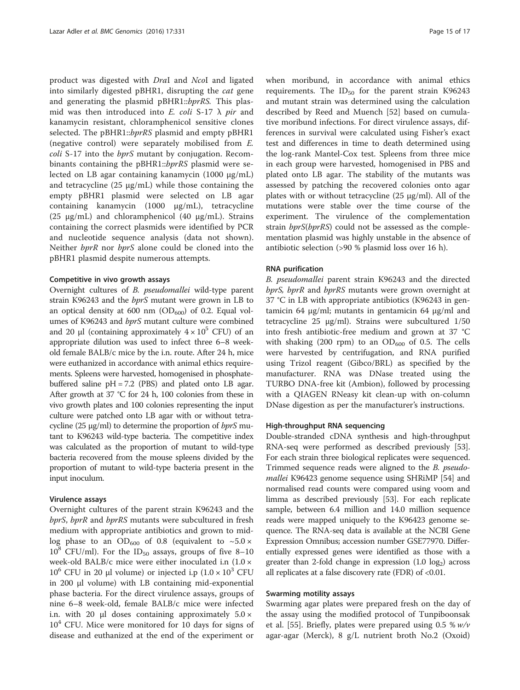product was digested with DraI and NcoI and ligated into similarly digested pBHR1, disrupting the cat gene and generating the plasmid pBHR1::bprRS. This plasmid was then introduced into E. coli S-17  $\lambda$  pir and kanamycin resistant, chloramphenicol sensitive clones selected. The pBHR1::bprRS plasmid and empty pBHR1 (negative control) were separately mobilised from E. coli S-17 into the *bprS* mutant by conjugation. Recombinants containing the pBHR1::bprRS plasmid were selected on LB agar containing kanamycin (1000 μg/mL) and tetracycline  $(25 \mu g/mL)$  while those containing the empty pBHR1 plasmid were selected on LB agar containing kanamycin (1000 μg/mL), tetracycline (25  $\mu$ g/mL) and chloramphenicol (40  $\mu$ g/mL). Strains containing the correct plasmids were identified by PCR and nucleotide sequence analysis (data not shown). Neither bprR nor bprS alone could be cloned into the pBHR1 plasmid despite numerous attempts.

#### Competitive in vivo growth assays

Overnight cultures of B. pseudomallei wild-type parent strain K96243 and the bprS mutant were grown in LB to an optical density at 600 nm  $(OD_{600})$  of 0.2. Equal volumes of K96243 and bprS mutant culture were combined and 20 μl (containing approximately  $4 \times 10^5$  CFU) of an appropriate dilution was used to infect three 6–8 weekold female BALB/c mice by the i.n. route. After 24 h, mice were euthanized in accordance with animal ethics requirements. Spleens were harvested, homogenised in phosphatebuffered saline pH = 7.2 (PBS) and plated onto LB agar. After growth at 37 °C for 24 h, 100 colonies from these in vivo growth plates and 100 colonies representing the input culture were patched onto LB agar with or without tetracycline (25 μg/ml) to determine the proportion of bprS mutant to K96243 wild-type bacteria. The competitive index was calculated as the proportion of mutant to wild-type bacteria recovered from the mouse spleens divided by the proportion of mutant to wild-type bacteria present in the input inoculum.

#### Virulence assays

Overnight cultures of the parent strain K96243 and the bprS, bprR and bprRS mutants were subcultured in fresh medium with appropriate antibiotics and grown to midlog phase to an OD<sub>600</sub> of 0.8 (equivalent to  $\sim 5.0 \times$  $10^8$  CFU/ml). For the ID<sub>50</sub> assays, groups of five 8–10 week-old BALB/c mice were either inoculated i.n (1.0 × 10<sup>6</sup> CFU in 20 μl volume) or injected i.p  $(1.0 \times 10^3 \text{ CFU})$ in 200 μl volume) with LB containing mid-exponential phase bacteria. For the direct virulence assays, groups of nine 6–8 week-old, female BALB/c mice were infected i.n. with 20  $\mu$ l doses containing approximately  $5.0 \times$  $10<sup>4</sup>$  CFU. Mice were monitored for 10 days for signs of disease and euthanized at the end of the experiment or

when moribund, in accordance with animal ethics requirements. The  $ID_{50}$  for the parent strain K96243 and mutant strain was determined using the calculation described by Reed and Muench [[52\]](#page-16-0) based on cumulative moribund infections. For direct virulence assays, differences in survival were calculated using Fisher's exact test and differences in time to death determined using the log-rank Mantel-Cox test. Spleens from three mice in each group were harvested, homogenised in PBS and plated onto LB agar. The stability of the mutants was assessed by patching the recovered colonies onto agar plates with or without tetracycline (25 μg/ml). All of the mutations were stable over the time course of the experiment. The virulence of the complementation strain bprS(bprRS) could not be assessed as the complementation plasmid was highly unstable in the absence of antibiotic selection (>90 % plasmid loss over 16 h).

#### RNA purification

B. pseudomallei parent strain K96243 and the directed bprS, bprR and bprRS mutants were grown overnight at 37 °C in LB with appropriate antibiotics (K96243 in gentamicin 64 μg/ml; mutants in gentamicin 64 μg/ml and tetracycline 25 μg/ml). Strains were subcultured 1/50 into fresh antibiotic-free medium and grown at 37 °C with shaking (200 rpm) to an  $OD_{600}$  of 0.5. The cells were harvested by centrifugation, and RNA purified using Trizol reagent (Gibco/BRL) as specified by the manufacturer. RNA was DNase treated using the TURBO DNA-free kit (Ambion), followed by processing with a QIAGEN RNeasy kit clean-up with on-column DNase digestion as per the manufacturer's instructions.

#### High-throughput RNA sequencing

Double-stranded cDNA synthesis and high-throughput RNA-seq were performed as described previously [[53](#page-16-0)]. For each strain three biological replicates were sequenced. Trimmed sequence reads were aligned to the B. pseudo-mallei K96423 genome sequence using SHRiMP [[54](#page-16-0)] and normalised read counts were compared using voom and limma as described previously [[53](#page-16-0)]. For each replicate sample, between 6.4 million and 14.0 million sequence reads were mapped uniquely to the K96423 genome sequence. The RNA-seq data is available at the NCBI Gene Expression Omnibus; accession number GSE77970. Differentially expressed genes were identified as those with a greater than 2-fold change in expression  $(1.0 \log_2)$  across all replicates at a false discovery rate  $(FDR)$  of  $<0.01$ .

#### Swarming motility assays

Swarming agar plates were prepared fresh on the day of the assay using the modified protocol of Tunpiboonsak et al. [\[55\]](#page-16-0). Briefly, plates were prepared using 0.5 %  $w/v$ agar-agar (Merck), 8 g/L nutrient broth No.2 (Oxoid)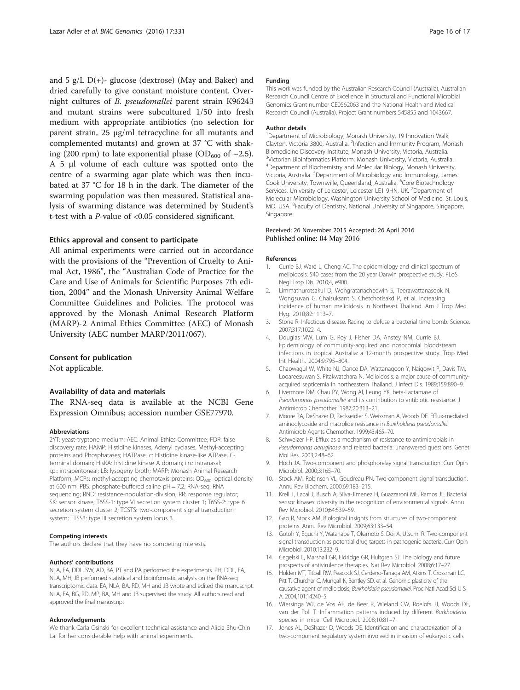<span id="page-15-0"></span>and 5  $g/L$  D(+)- glucose (dextrose) (May and Baker) and dried carefully to give constant moisture content. Overnight cultures of B. pseudomallei parent strain K96243 and mutant strains were subcultured 1/50 into fresh medium with appropriate antibiotics (no selection for parent strain, 25 μg/ml tetracycline for all mutants and complemented mutants) and grown at 37 °C with shaking (200 rpm) to late exponential phase (OD<sub>600</sub> of  $\sim$ 2.5). A 5 μl volume of each culture was spotted onto the centre of a swarming agar plate which was then incubated at 37 °C for 18 h in the dark. The diameter of the swarming population was then measured. Statistical analysis of swarming distance was determined by Student's t-test with a P-value of <0.05 considered significant.

#### Ethics approval and consent to participate

All animal experiments were carried out in accordance with the provisions of the "Prevention of Cruelty to Animal Act, 1986", the "Australian Code of Practice for the Care and Use of Animals for Scientific Purposes 7th edition, 2004" and the Monash University Animal Welfare Committee Guidelines and Policies. The protocol was approved by the Monash Animal Research Platform (MARP)-2 Animal Ethics Committee (AEC) of Monash University (AEC number MARP/2011/067).

#### Consent for publication

Not applicable.

#### Availability of data and materials

The RNA-seq data is available at the NCBI Gene Expression Omnibus; accession number GSE77970.

#### Abbreviations

2YT: yeast-tryptone medium; AEC: Animal Ethics Committee; FDR: false discovery rate; HAMP: Histidine kinases, Adenyl cyclases, Methyl-accepting proteins and Phosphatases; HATPase\_c: Histidine kinase-like ATPase, Cterminal domain; HisKA: histidine kinase A domain; i.n.: intranasal; i.p.: intraperitoneal; LB: lysogeny broth; MARP: Monash Animal Research Platform; MCPs: methyl-accepting chemotaxis proteins; OD<sub>600</sub>: optical density at 600 nm; PBS: phosphate-buffered saline pH = 7.2; RNA-seq: RNA sequencing; RND: resistance-nodulation-division; RR: response regulator; SK: sensor kinase; T6SS-1: type VI secretion system cluster 1; T6SS-2: type 6 secretion system cluster 2; TCSTS: two-component signal transduction system; TTSS3: type III secretion system locus 3.

#### Competing interests

The authors declare that they have no competing interests.

#### Authors' contributions

NLA, EA, DDL, SW, AD, BA, PT and PA performed the experiments. PH, DDL, EA, NLA, MH, JB performed statistical and bioinformatic analysis on the RNA-seq transcriptomic data. EA, NLA, BA, RD, MH and JB wrote and edited the manuscript. NLA, EA, BG, RD, MP, BA, MH and JB supervised the study. All authors read and approved the final manuscript

#### Acknowledgements

We thank Carla Osinski for excellent technical assistance and Alicia Shu-Chin Lai for her considerable help with animal experiments.

#### Funding

This work was funded by the Australian Research Council (Australia), Australian Research Council Centre of Excellence in Structural and Functional Microbial Genomics Grant number CE0562063 and the National Health and Medical Research Council (Australia), Project Grant numbers 545855 and 1043667.

#### Author details

<sup>1</sup>Department of Microbiology, Monash University, 19 Innovation Walk, Clayton, Victoria 3800, Australia. <sup>2</sup>Infection and Immunity Program, Monash Biomedicine Discovery Institute, Monash University, Victoria, Australia. 3 Victorian Bioinformatics Platform, Monash University, Victoria, Australia. 4 Department of Biochemistry and Molecular Biology, Monash University, Victoria, Australia. <sup>5</sup>Department of Microbiology and Immunology, James Cook University, Townsville, Queensland, Australia. <sup>6</sup>Core Biotechnology Services, University of Leicester, Leicester LE1 9HN, UK. <sup>7</sup>Department of Molecular Microbiology, Washington University School of Medicine, St. Louis, MO, USA. <sup>8</sup>Faculty of Dentistry, National University of Singapore, Singapore, Singapore.

#### Received: 26 November 2015 Accepted: 26 April 2016 Published online: 04 May 2016

#### References

- 1. Currie BJ, Ward L, Cheng AC. The epidemiology and clinical spectrum of melioidosis: 540 cases from the 20 year Darwin prospective study. PLoS Negl Trop Dis. 2010;4, e900.
- 2. Limmathurotsakul D, Wongratanacheewin S, Teerawattanasook N, Wongsuvan G, Chaisuksant S, Chetchotisakd P, et al. Increasing incidence of human melioidosis in Northeast Thailand. Am J Trop Med Hyg. 2010;82:1113–7.
- 3. Stone R. Infectious disease. Racing to defuse a bacterial time bomb. Science. 2007;317:1022–4.
- 4. Douglas MW, Lum G, Roy J, Fisher DA, Anstey NM, Currie BJ. Epidemiology of community-acquired and nosocomial bloodstream infections in tropical Australia: a 12-month prospective study. Trop Med Int Health. 2004;9:795–804.
- 5. Chaowagul W, White NJ, Dance DA, Wattanagoon Y, Naigowit P, Davis TM, Looareesuwan S, Pitakwatchara N. Melioidosis: a major cause of communityacquired septicemia in northeastern Thailand. J Infect Dis. 1989;159:890–9.
- 6. Livermore DM, Chau PY, Wong AI, Leung YK. beta-Lactamase of Pseudomonas pseudomallei and its contribution to antibiotic resistance. J Antimicrob Chemother. 1987;20:313-21.
- 7. Moore RA, DeShazer D, Reckseidler S, Weissman A, Woods DE. Efflux-mediated aminoglycoside and macrolide resistance in Burkholderia pseudomallei. Antimicrob Agents Chemother. 1999;43:465–70.
- Schweizer HP. Efflux as a mechanism of resistance to antimicrobials in Pseudomonas aeruginosa and related bacteria: unanswered questions. Genet Mol Res. 2003;2:48–62.
- 9. Hoch JA. Two-component and phosphorelay signal transduction. Curr Opin Microbiol. 2000;3:165–70.
- 10. Stock AM, Robinson VL, Goudreau PN. Two-component signal transduction. Annu Rev Biochem. 2000;69:183–215.
- 11. Krell T, Lacal J, Busch A, Silva-Jimenez H, Guazzaroni ME, Ramos JL. Bacterial sensor kinases: diversity in the recognition of environmental signals. Annu Rev Microbiol. 2010;64:539–59.
- 12. Gao R, Stock AM. Biological insights from structures of two-component proteins. Annu Rev Microbiol. 2009;63:133–54.
- 13. Gotoh Y, Eguchi Y, Watanabe T, Okamoto S, Doi A, Utsumi R. Two-component signal transduction as potential drug targets in pathogenic bacteria. Curr Opin Microbiol. 2010;13:232–9.
- 14. Cegelski L, Marshall GR, Eldridge GR, Hultgren SJ. The biology and future prospects of antivirulence therapies. Nat Rev Microbiol. 2008;6:17–27.
- 15. Holden MT, Titball RW, Peacock SJ, Cerdeno-Tarraga AM, Atkins T, Crossman LC, Pitt T, Churcher C, Mungall K, Bentley SD, et al. Genomic plasticity of the causative agent of melioidosis, Burkholderia pseudomallei. Proc Natl Acad Sci U S A. 2004;101:14240–5.
- 16. Wiersinga WJ, de Vos AF, de Beer R, Wieland CW, Roelofs JJ, Woods DE, van der Poll T. Inflammation patterns induced by different Burkholderia species in mice. Cell Microbiol. 2008;10:81–7.
- 17. Jones AL, DeShazer D, Woods DE. Identification and characterization of a two-component regulatory system involved in invasion of eukaryotic cells